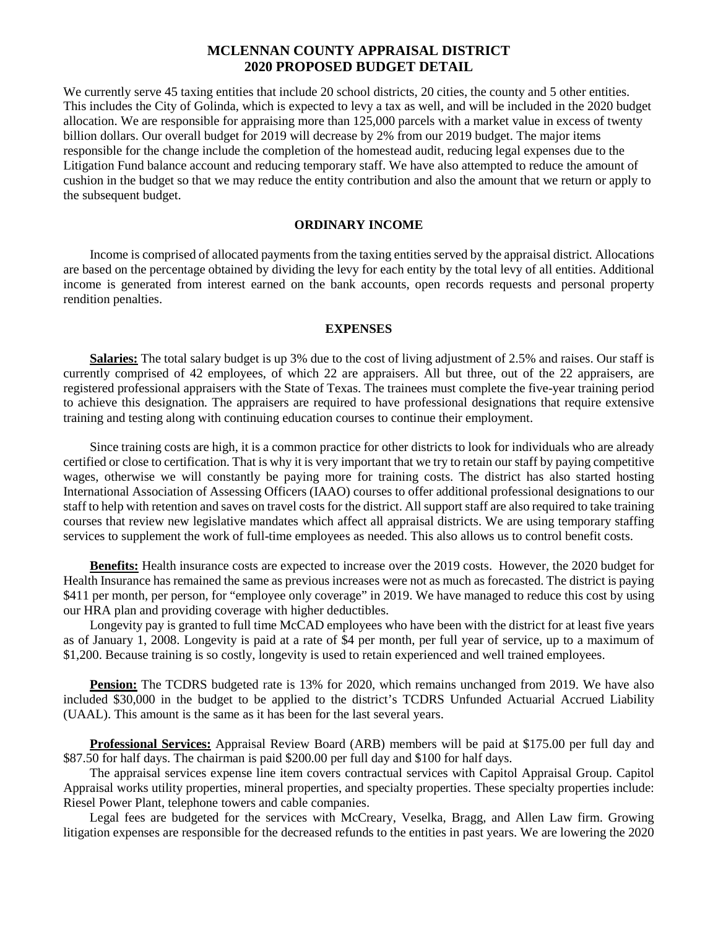# **MCLENNAN COUNTY APPRAISAL DISTRICT 2020 PROPOSED BUDGET DETAIL**

We currently serve 45 taxing entities that include 20 school districts, 20 cities, the county and 5 other entities. This includes the City of Golinda, which is expected to levy a tax as well, and will be included in the 2020 budget allocation. We are responsible for appraising more than 125,000 parcels with a market value in excess of twenty billion dollars. Our overall budget for 2019 will decrease by 2% from our 2019 budget. The major items responsible for the change include the completion of the homestead audit, reducing legal expenses due to the Litigation Fund balance account and reducing temporary staff. We have also attempted to reduce the amount of cushion in the budget so that we may reduce the entity contribution and also the amount that we return or apply to the subsequent budget.

### **ORDINARY INCOME**

Income is comprised of allocated payments from the taxing entities served by the appraisal district. Allocations are based on the percentage obtained by dividing the levy for each entity by the total levy of all entities. Additional income is generated from interest earned on the bank accounts, open records requests and personal property rendition penalties.

### **EXPENSES**

**Salaries:** The total salary budget is up 3% due to the cost of living adjustment of 2.5% and raises. Our staff is currently comprised of 42 employees, of which 22 are appraisers. All but three, out of the 22 appraisers, are registered professional appraisers with the State of Texas. The trainees must complete the five-year training period to achieve this designation. The appraisers are required to have professional designations that require extensive training and testing along with continuing education courses to continue their employment.

Since training costs are high, it is a common practice for other districts to look for individuals who are already certified or close to certification. That is why it is very important that we try to retain our staff by paying competitive wages, otherwise we will constantly be paying more for training costs. The district has also started hosting International Association of Assessing Officers (IAAO) courses to offer additional professional designations to our staff to help with retention and saves on travel costs for the district. All support staff are also required to take training courses that review new legislative mandates which affect all appraisal districts. We are using temporary staffing services to supplement the work of full-time employees as needed. This also allows us to control benefit costs.

**Benefits:** Health insurance costs are expected to increase over the 2019 costs. However, the 2020 budget for Health Insurance has remained the same as previous increases were not as much as forecasted. The district is paying \$411 per month, per person, for "employee only coverage" in 2019. We have managed to reduce this cost by using our HRA plan and providing coverage with higher deductibles.

Longevity pay is granted to full time McCAD employees who have been with the district for at least five years as of January 1, 2008. Longevity is paid at a rate of \$4 per month, per full year of service, up to a maximum of \$1,200. Because training is so costly, longevity is used to retain experienced and well trained employees.

**Pension:** The TCDRS budgeted rate is 13% for 2020, which remains unchanged from 2019. We have also included \$30,000 in the budget to be applied to the district's TCDRS Unfunded Actuarial Accrued Liability (UAAL). This amount is the same as it has been for the last several years.

**Professional Services:** Appraisal Review Board (ARB) members will be paid at \$175.00 per full day and \$87.50 for half days. The chairman is paid \$200.00 per full day and \$100 for half days.

The appraisal services expense line item covers contractual services with Capitol Appraisal Group. Capitol Appraisal works utility properties, mineral properties, and specialty properties. These specialty properties include: Riesel Power Plant, telephone towers and cable companies.

Legal fees are budgeted for the services with McCreary, Veselka, Bragg, and Allen Law firm. Growing litigation expenses are responsible for the decreased refunds to the entities in past years. We are lowering the 2020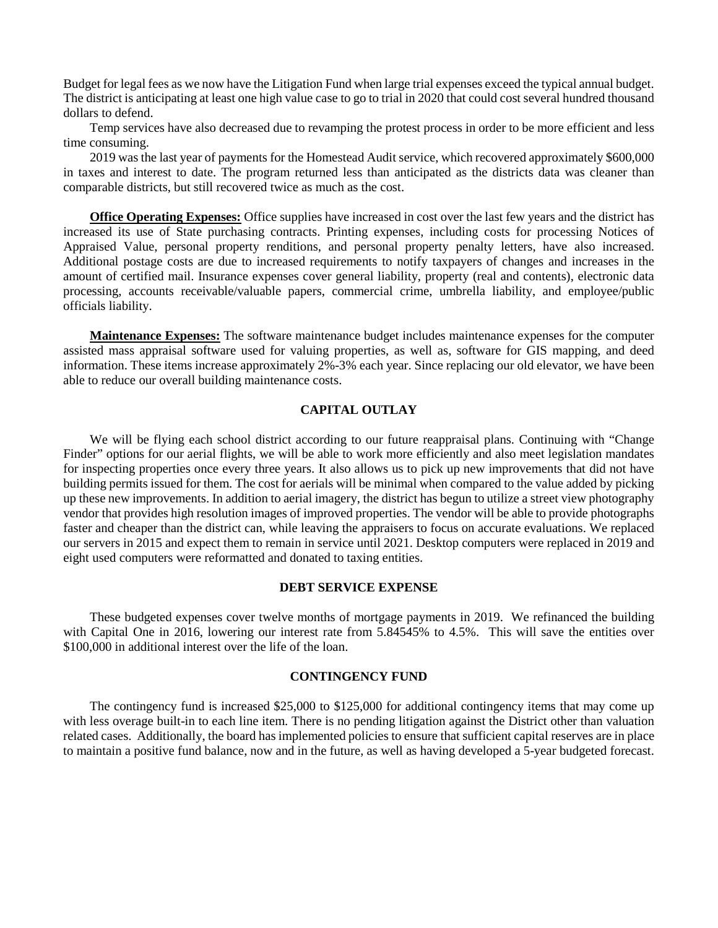Budget for legal fees as we now have the Litigation Fund when large trial expenses exceed the typical annual budget. The district is anticipating at least one high value case to go to trial in 2020 that could cost several hundred thousand dollars to defend.

Temp services have also decreased due to revamping the protest process in order to be more efficient and less time consuming.

2019 was the last year of payments for the Homestead Audit service, which recovered approximately \$600,000 in taxes and interest to date. The program returned less than anticipated as the districts data was cleaner than comparable districts, but still recovered twice as much as the cost.

**Office Operating Expenses:** Office supplies have increased in cost over the last few years and the district has increased its use of State purchasing contracts. Printing expenses, including costs for processing Notices of Appraised Value, personal property renditions, and personal property penalty letters, have also increased. Additional postage costs are due to increased requirements to notify taxpayers of changes and increases in the amount of certified mail. Insurance expenses cover general liability, property (real and contents), electronic data processing, accounts receivable/valuable papers, commercial crime, umbrella liability, and employee/public officials liability.

**Maintenance Expenses:** The software maintenance budget includes maintenance expenses for the computer assisted mass appraisal software used for valuing properties, as well as, software for GIS mapping, and deed information. These items increase approximately 2%-3% each year. Since replacing our old elevator, we have been able to reduce our overall building maintenance costs.

### **CAPITAL OUTLAY**

We will be flying each school district according to our future reappraisal plans. Continuing with "Change Finder" options for our aerial flights, we will be able to work more efficiently and also meet legislation mandates for inspecting properties once every three years. It also allows us to pick up new improvements that did not have building permits issued for them. The cost for aerials will be minimal when compared to the value added by picking up these new improvements. In addition to aerial imagery, the district has begun to utilize a street view photography vendor that provides high resolution images of improved properties. The vendor will be able to provide photographs faster and cheaper than the district can, while leaving the appraisers to focus on accurate evaluations. We replaced our servers in 2015 and expect them to remain in service until 2021. Desktop computers were replaced in 2019 and eight used computers were reformatted and donated to taxing entities.

### **DEBT SERVICE EXPENSE**

These budgeted expenses cover twelve months of mortgage payments in 2019. We refinanced the building with Capital One in 2016, lowering our interest rate from 5.84545% to 4.5%. This will save the entities over \$100,000 in additional interest over the life of the loan.

## **CONTINGENCY FUND**

The contingency fund is increased \$25,000 to \$125,000 for additional contingency items that may come up with less overage built-in to each line item. There is no pending litigation against the District other than valuation related cases. Additionally, the board has implemented policies to ensure that sufficient capital reserves are in place to maintain a positive fund balance, now and in the future, as well as having developed a 5-year budgeted forecast.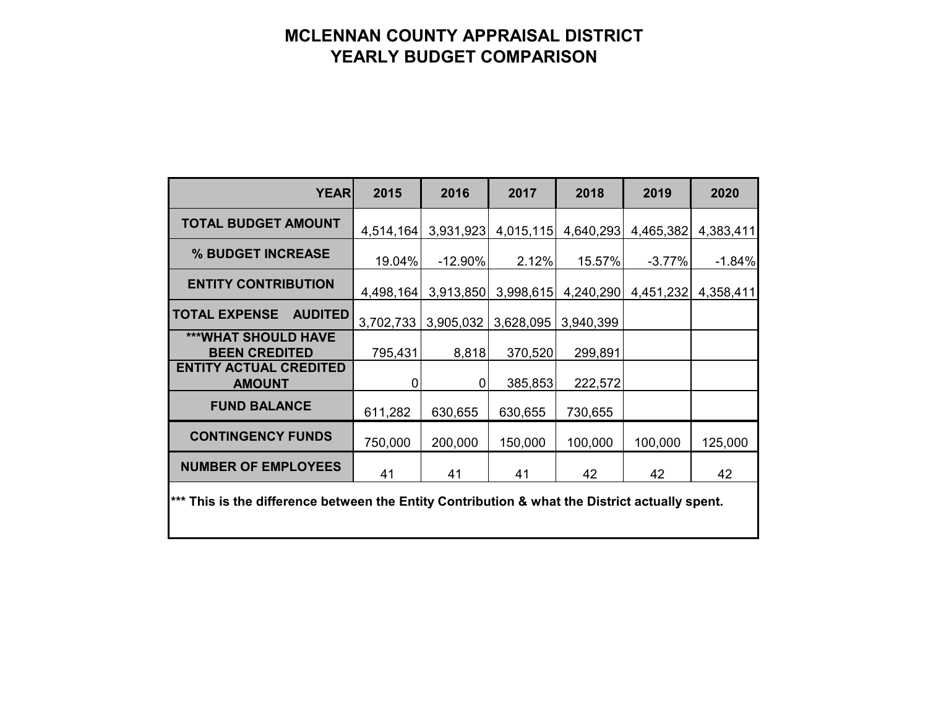# **MCLENNAN COUNTY APPRAISAL DISTRICT YEARLY BUDGET COMPARISON**

| <b>YEAR</b>                                                                                    | 2015      | 2016       | 2017      | 2018      | 2019      | 2020      |
|------------------------------------------------------------------------------------------------|-----------|------------|-----------|-----------|-----------|-----------|
| <b>TOTAL BUDGET AMOUNT</b>                                                                     | 4,514,164 | 3,931,923  | 4,015,115 | 4,640,293 | 4,465,382 | 4,383,411 |
| % BUDGET INCREASE                                                                              | 19.04%    | $-12.90\%$ | 2.12%     | 15.57%    | $-3.77%$  | $-1.84%$  |
| <b>ENTITY CONTRIBUTION</b>                                                                     | 4,498,164 | 3,913,850  | 3,998,615 | 4,240,290 | 4,451,232 | 4,358,411 |
| <b>TOTAL EXPENSE</b><br><b>AUDITED</b>                                                         | 3,702,733 | 3,905,032  | 3,628,095 | 3,940,399 |           |           |
| <b>***WHAT SHOULD HAVE</b><br><b>BEEN CREDITED</b>                                             | 795,431   | 8,818      | 370,520   | 299,891   |           |           |
| <b>ENTITY ACTUAL CREDITED</b><br><b>AMOUNT</b>                                                 | 0         | 0          | 385,853   | 222,572   |           |           |
| <b>FUND BALANCE</b>                                                                            | 611,282   | 630,655    | 630,655   | 730,655   |           |           |
| <b>CONTINGENCY FUNDS</b>                                                                       | 750,000   | 200,000    | 150,000   | 100,000   | 100,000   | 125,000   |
| <b>NUMBER OF EMPLOYEES</b>                                                                     | 41        | 41         | 41        | 42        | 42        | 42        |
| *** This is the difference between the Entity Contribution & what the District actually spent. |           |            |           |           |           |           |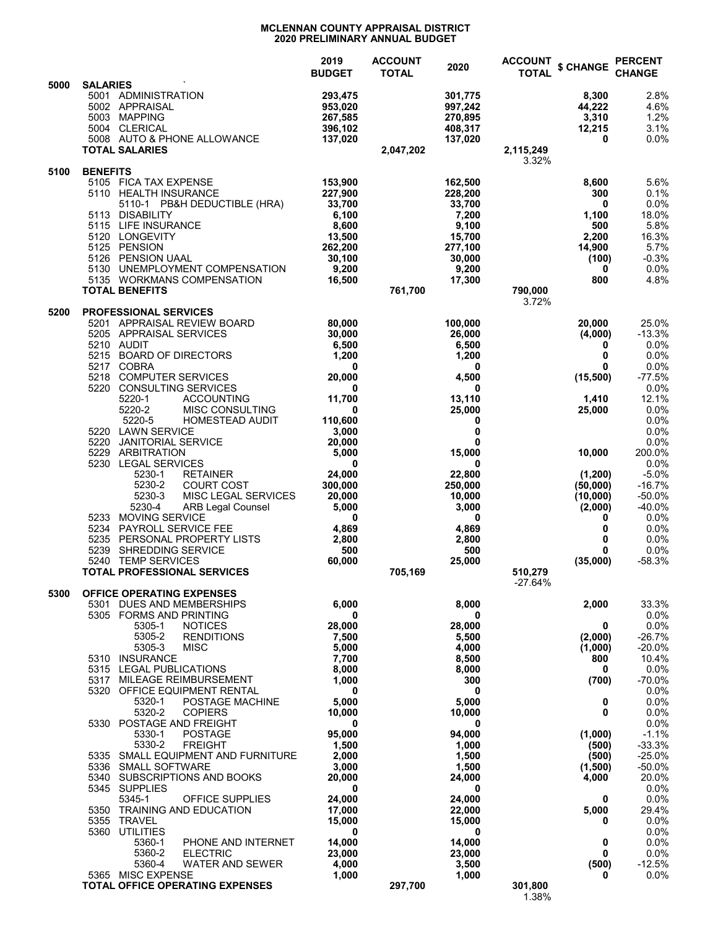#### **MCLENNAN COUNTY APPRAISAL DISTRICT 2020 PRELIMINARY ANNUAL BUDGET**

|      |                                                                                                                                                                                                                                                                                                                              | 2019<br><b>BUDGET</b>                                                                            | <b>ACCOUNT</b><br><b>TOTAL</b> | 2020                                                                                             | <b>ACCOUNT</b><br><b>TOTAL</b> | \$ CHANGE                                                                 | <b>PERCENT</b><br><b>CHANGE</b>                                                   |
|------|------------------------------------------------------------------------------------------------------------------------------------------------------------------------------------------------------------------------------------------------------------------------------------------------------------------------------|--------------------------------------------------------------------------------------------------|--------------------------------|--------------------------------------------------------------------------------------------------|--------------------------------|---------------------------------------------------------------------------|-----------------------------------------------------------------------------------|
| 5000 | <b>SALARIES</b><br>5001 ADMINISTRATION<br>5002 APPRAISAL<br>5003<br><b>MAPPING</b><br>5004 CLERICAL<br>5008 AUTO & PHONE ALLOWANCE                                                                                                                                                                                           | 293.475<br>953,020<br>267,585<br>396,102<br>137,020                                              |                                | 301,775<br>997,242<br>270,895<br>408,317<br>137,020                                              |                                | 8,300<br>44,222<br>3,310<br>12,215<br>0                                   | 2.8%<br>4.6%<br>1.2%<br>3.1%<br>0.0%                                              |
|      | <b>TOTAL SALARIES</b>                                                                                                                                                                                                                                                                                                        |                                                                                                  | 2,047,202                      |                                                                                                  | 2,115,249<br>3.32%             |                                                                           |                                                                                   |
| 5100 | <b>BENEFITS</b><br>5105 FICA TAX EXPENSE<br>5110 HEALTH INSURANCE<br>5110-1 PB&H DEDUCTIBLE (HRA)<br><b>DISABILITY</b><br>5113<br>5115 LIFE INSURANCE<br>5120 LONGEVITY<br><b>PENSION</b><br>5125<br>5126<br><b>PENSION UAAL</b><br>5130<br>UNEMPLOYMENT COMPENSATION<br>5135 WORKMANS COMPENSATION<br><b>TOTAL BENEFITS</b> | 153,900<br>227,900<br>33,700<br>6,100<br>8,600<br>13,500<br>262,200<br>30,100<br>9,200<br>16,500 | 761,700                        | 162,500<br>228,200<br>33,700<br>7,200<br>9,100<br>15,700<br>277,100<br>30,000<br>9,200<br>17,300 | 790,000                        | 8,600<br>300<br>0<br>1,100<br>500<br>2,200<br>14,900<br>(100)<br>0<br>800 | 5.6%<br>0.1%<br>0.0%<br>18.0%<br>5.8%<br>16.3%<br>5.7%<br>$-0.3%$<br>0.0%<br>4.8% |
| 5200 | <b>PROFESSIONAL SERVICES</b><br>5201 APPRAISAL REVIEW BOARD                                                                                                                                                                                                                                                                  | 80,000                                                                                           |                                | 100,000                                                                                          | 3.72%                          | 20,000                                                                    | 25.0%                                                                             |
|      | 5205 APPRAISAL SERVICES<br>5210 AUDIT<br>5215 BOARD OF DIRECTORS<br>5217 COBRA                                                                                                                                                                                                                                               | 30,000<br>6,500<br>1,200<br>0                                                                    |                                | 26.000<br>6,500<br>1,200<br>0                                                                    |                                | (4,000)<br>0<br>0<br>0                                                    | $-13.3%$<br>0.0%<br>0.0%<br>0.0%                                                  |
|      | <b>COMPUTER SERVICES</b><br>5218<br>5220 CONSULTING SERVICES                                                                                                                                                                                                                                                                 | 20,000<br>0                                                                                      |                                | 4,500<br>0                                                                                       |                                | (15,500)                                                                  | $-77.5%$<br>0.0%                                                                  |
|      | 5220-1<br><b>ACCOUNTING</b><br>5220-2<br><b>MISC CONSULTING</b><br>5220-5<br>HOMESTEAD AUDIT<br>5220 LAWN SERVICE                                                                                                                                                                                                            | 11,700<br>0<br>110,600<br>3,000                                                                  |                                | 13,110<br>25,000<br>0<br>0                                                                       |                                | 1,410<br>25,000                                                           | 12.1%<br>0.0%<br>0.0%<br>0.0%                                                     |
|      | 5220<br><b>JANITORIAL SERVICE</b><br>ARBITRATION<br>5229<br>5230<br><b>LEGAL SERVICES</b>                                                                                                                                                                                                                                    | 20,000<br>5,000<br>0                                                                             |                                | 0<br>15,000<br>0                                                                                 |                                | 10,000                                                                    | 0.0%<br>200.0%<br>0.0%                                                            |
|      | 5230-1<br><b>RETAINER</b><br>5230-2<br><b>COURT COST</b><br>5230-3<br><b>MISC LEGAL SERVICES</b><br>5230-4<br><b>ARB Legal Counsel</b><br>5233<br><b>MOVING SERVICE</b>                                                                                                                                                      | 24,000<br>300,000<br>20,000<br>5,000<br>0                                                        |                                | 22,800<br>250,000<br>10,000<br>3,000<br>0                                                        |                                | (1,200)<br>(50,000)<br>(10,000)<br>(2,000)<br>0                           | $-5.0%$<br>$-16.7%$<br>$-50.0%$<br>$-40.0%$<br>0.0%                               |
|      | 5234<br>PAYROLL SERVICE FEE<br>5235<br>PERSONAL PROPERTY LISTS<br>5239<br>SHREDDING SERVICE<br>5240 TEMP SERVICES                                                                                                                                                                                                            | 4,869<br>2,800<br>500<br>60,000                                                                  |                                | 4,869<br>2,800<br>500<br>25,000                                                                  |                                | 0<br>0<br>0<br>(35,000)                                                   | 0.0%<br>0.0%<br>0.0%<br>$-58.3%$                                                  |
|      | <b>TOTAL PROFESSIONAL SERVICES</b>                                                                                                                                                                                                                                                                                           |                                                                                                  | 705,169                        |                                                                                                  | 510,279<br>-27.64%             |                                                                           |                                                                                   |
| 5300 | <b>OFFICE OPERATING EXPENSES</b><br>5301 DUES AND MEMBERSHIPS<br>5305 FORMS AND PRINTING                                                                                                                                                                                                                                     | 6,000<br>0                                                                                       |                                | 8,000                                                                                            |                                | 2,000                                                                     | 33.3%                                                                             |
|      | 5305-1<br><b>NOTICES</b><br>5305-2<br><b>RENDITIONS</b><br>5305-3<br><b>MISC</b>                                                                                                                                                                                                                                             | 28,000<br>7,500<br>5,000                                                                         |                                | 0<br>28,000<br>5,500<br>4,000                                                                    |                                | 0<br>(2,000)<br>(1,000)                                                   | 0.0%<br>0.0%<br>$-26.7%$<br>$-20.0%$                                              |
|      | 5310 INSURANCE<br>5315 LEGAL PUBLICATIONS<br>5317 MILEAGE REIMBURSEMENT                                                                                                                                                                                                                                                      | 7,700<br>8,000<br>1,000                                                                          |                                | 8,500<br>8,000<br>300                                                                            |                                | 800<br>0<br>(700)                                                         | 10.4%<br>0.0%<br>$-70.0%$                                                         |
|      | 5320 OFFICE EQUIPMENT RENTAL<br>5320-1<br>POSTAGE MACHINE<br>5320-2<br><b>COPIERS</b><br>5330 POSTAGE AND FREIGHT                                                                                                                                                                                                            | 0<br>5,000<br>10,000<br>0                                                                        |                                | 0<br>5,000<br>10,000<br>0                                                                        |                                | 0<br>0                                                                    | 0.0%<br>0.0%<br>0.0%<br>0.0%                                                      |
|      | 5330-1<br><b>POSTAGE</b><br>5330-2<br><b>FREIGHT</b><br>5335 SMALL EQUIPMENT AND FURNITURE<br>5336 SMALL SOFTWARE                                                                                                                                                                                                            | 95,000<br>1,500<br>2,000<br>3,000                                                                |                                | 94,000<br>1,000<br>1,500<br>1,500                                                                |                                | (1,000)<br>(500)<br>(500)<br>(1,500)                                      | $-1.1%$<br>$-33.3%$<br>$-25.0%$<br>$-50.0%$                                       |
|      | 5340 SUBSCRIPTIONS AND BOOKS<br>5345 SUPPLIES<br>5345-1<br>OFFICE SUPPLIES                                                                                                                                                                                                                                                   | 20,000<br>0<br>24,000                                                                            |                                | 24,000<br>0<br>24,000                                                                            |                                | 4,000<br>0                                                                | 20.0%<br>0.0%<br>0.0%                                                             |
|      | <b>TRAINING AND EDUCATION</b><br>5350<br>5355 TRAVEL<br><b>UTILITIES</b><br>5360                                                                                                                                                                                                                                             | 17,000<br>15,000<br>0                                                                            |                                | 22,000<br>15,000<br>0                                                                            |                                | 5,000<br>0                                                                | 29.4%<br>0.0%<br>0.0%                                                             |
|      | 5360-1<br>PHONE AND INTERNET<br>5360-2<br><b>ELECTRIC</b><br>5360-4<br><b>WATER AND SEWER</b>                                                                                                                                                                                                                                | 14,000<br>23,000<br>4,000                                                                        |                                | 14,000<br>23,000<br>3,500                                                                        |                                | 0<br>0<br>(500)                                                           | 0.0%<br>0.0%<br>$-12.5%$                                                          |
|      | 5365 MISC EXPENSE<br><b>TOTAL OFFICE OPERATING EXPENSES</b>                                                                                                                                                                                                                                                                  | 1,000                                                                                            | 297,700                        | 1,000                                                                                            | 301,800<br>1.38%               | 0                                                                         | $0.0\%$                                                                           |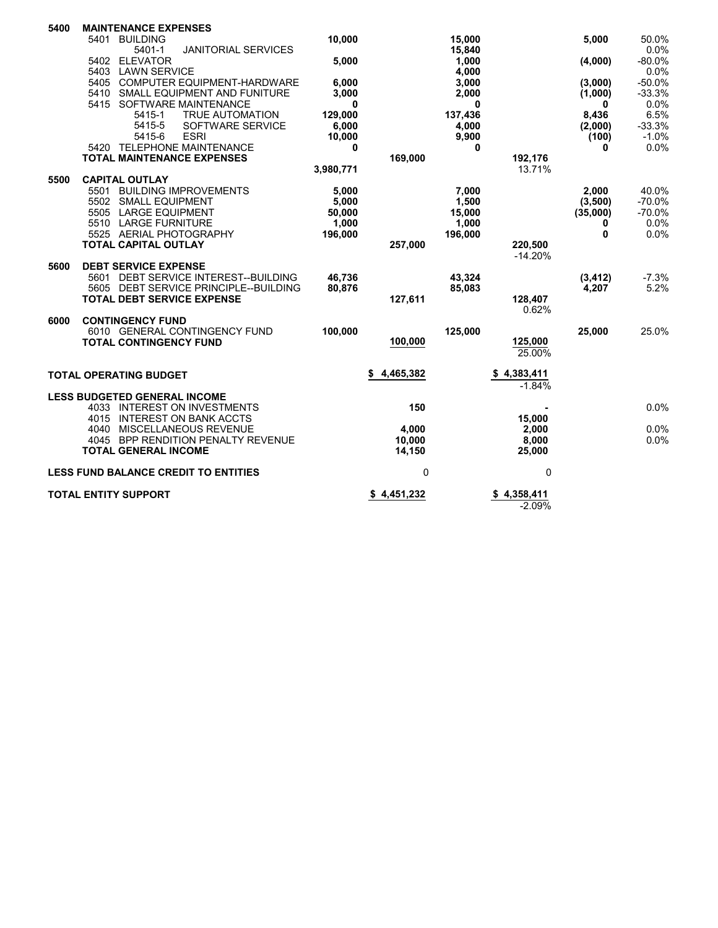| 5400 |      | <b>MAINTENANCE EXPENSES</b>   |                                             |           |             |          |                      |          |          |
|------|------|-------------------------------|---------------------------------------------|-----------|-------------|----------|----------------------|----------|----------|
|      | 5401 | <b>BUILDING</b>               |                                             | 10,000    |             | 15,000   |                      | 5,000    | 50.0%    |
|      |      | 5401-1                        | <b>JANITORIAL SERVICES</b>                  |           |             | 15,840   |                      |          | 0.0%     |
|      | 5402 | <b>ELEVATOR</b>               |                                             | 5,000     |             | 1,000    |                      | (4,000)  | $-80.0%$ |
|      | 5403 | <b>LAWN SERVICE</b>           |                                             |           |             | 4.000    |                      |          | 0.0%     |
|      |      |                               | 5405 COMPUTER EQUIPMENT-HARDWARE            | 6,000     |             | 3,000    |                      | (3,000)  | $-50.0%$ |
|      |      |                               | 5410 SMALL EQUIPMENT AND FUNITURE           | 3,000     |             | 2,000    |                      | (1,000)  | $-33.3%$ |
|      |      |                               | 5415 SOFTWARE MAINTENANCE                   | 0         |             | 0        |                      | 0        | 0.0%     |
|      |      | 5415-1                        | <b>TRUE AUTOMATION</b>                      | 129,000   |             | 137,436  |                      | 8,436    | 6.5%     |
|      |      | 5415-5                        | SOFTWARE SERVICE                            | 6,000     |             | 4,000    |                      | (2,000)  | $-33.3%$ |
|      |      | 5415-6                        | <b>ESRI</b>                                 | 10,000    |             | 9,900    |                      | (100)    | $-1.0%$  |
|      |      |                               | 5420 TELEPHONE MAINTENANCE                  | $\bf{0}$  |             | $\bf{0}$ |                      | 0        | 0.0%     |
|      |      |                               | <b>TOTAL MAINTENANCE EXPENSES</b>           |           | 169,000     |          | 192,176              |          |          |
|      |      |                               |                                             | 3,980,771 |             |          | 13.71%               |          |          |
| 5500 |      | <b>CAPITAL OUTLAY</b>         |                                             |           |             |          |                      |          |          |
|      |      |                               | 5501 BUILDING IMPROVEMENTS                  | 5,000     |             | 7,000    |                      | 2,000    | 40.0%    |
|      |      | 5502 SMALL EQUIPMENT          |                                             | 5,000     |             | 1,500    |                      | (3,500)  | $-70.0%$ |
|      |      | 5505 LARGE EQUIPMENT          |                                             | 50,000    |             | 15,000   |                      | (35,000) | $-70.0%$ |
|      |      | 5510 LARGE FURNITURE          |                                             | 1,000     |             | 1,000    |                      | 0        | 0.0%     |
|      |      |                               | 5525 AERIAL PHOTOGRAPHY                     | 196,000   |             | 196,000  |                      | $\bf{0}$ | 0.0%     |
|      |      | <b>TOTAL CAPITAL OUTLAY</b>   |                                             |           | 257,000     |          | 220,500<br>$-14.20%$ |          |          |
| 5600 |      | <b>DEBT SERVICE EXPENSE</b>   |                                             |           |             |          |                      |          |          |
|      | 5601 |                               | DEBT SERVICE INTEREST--BUILDING             | 46,736    |             | 43,324   |                      | (3, 412) | $-7.3%$  |
|      |      |                               | 5605 DEBT SERVICE PRINCIPLE--BUILDING       | 80,876    |             | 85,083   |                      | 4,207    | 5.2%     |
|      |      |                               | <b>TOTAL DEBT SERVICE EXPENSE</b>           |           | 127,611     |          | 128,407              |          |          |
|      |      |                               |                                             |           |             |          | 0.62%                |          |          |
| 6000 |      | <b>CONTINGENCY FUND</b>       |                                             |           |             |          |                      |          |          |
|      |      |                               | 6010 GENERAL CONTINGENCY FUND               | 100,000   |             | 125,000  |                      | 25,000   | 25.0%    |
|      |      | <b>TOTAL CONTINGENCY FUND</b> |                                             |           | 100,000     |          | 125,000              |          |          |
|      |      |                               |                                             |           |             |          | 25.00%               |          |          |
|      |      | <b>TOTAL OPERATING BUDGET</b> |                                             |           | 4,465,382   |          | 4,383,411<br>S       |          |          |
|      |      |                               |                                             |           |             |          | $-1.84%$             |          |          |
|      |      |                               | <b>LESS BUDGETED GENERAL INCOME</b>         |           |             |          |                      |          |          |
|      |      |                               | 4033 INTEREST ON INVESTMENTS                |           | 150         |          |                      |          | 0.0%     |
|      |      |                               | 4015 INTEREST ON BANK ACCTS                 |           |             |          | 15,000               |          |          |
|      | 4040 |                               | MISCELLANEOUS REVENUE                       |           | 4,000       |          | 2,000                |          | 0.0%     |
|      | 4045 |                               | BPP RENDITION PENALTY REVENUE               |           | 10,000      |          | 8,000                |          | 0.0%     |
|      |      | <b>TOTAL GENERAL INCOME</b>   |                                             |           | 14,150      |          | 25,000               |          |          |
|      |      |                               | <b>LESS FUND BALANCE CREDIT TO ENTITIES</b> |           | 0           |          | 0                    |          |          |
|      |      | <b>TOTAL ENTITY SUPPORT</b>   |                                             |           | \$4,451,232 |          | \$4,358,411          |          |          |
|      |      |                               |                                             |           |             |          | $-2.09%$             |          |          |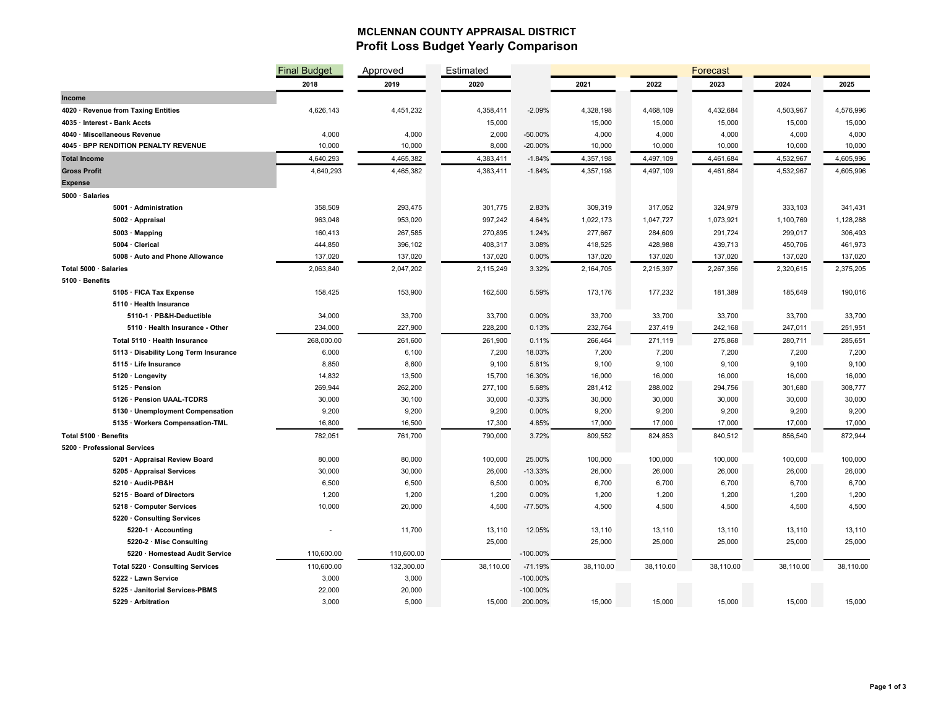### **MCLENNAN COUNTY APPRAISAL DISTRICT Profit Loss Budget Yearly Comparison**

|                                                         | <b>Final Budget</b> | Approved   | Estimated        |             |           |                  | Forecast         |                  |           |
|---------------------------------------------------------|---------------------|------------|------------------|-------------|-----------|------------------|------------------|------------------|-----------|
|                                                         | 2018                | 2019       | 2020             |             | 2021      | 2022             | 2023             | 2024             | 2025      |
| Income                                                  |                     |            |                  |             |           |                  |                  |                  |           |
| 4020 · Revenue from Taxing Entities                     | 4,626,143           | 4,451,232  | 4,358,411        | $-2.09%$    | 4,328,198 | 4,468,109        | 4,432,684        | 4,503,967        | 4,576,996 |
| 4035 · Interest - Bank Accts                            |                     |            | 15,000           |             | 15,000    | 15,000           | 15,000           | 15,000           | 15,000    |
| 4040 · Miscellaneous Revenue                            | 4,000               | 4,000      | 2,000            | $-50.00%$   | 4,000     | 4,000            | 4,000            | 4,000            | 4,000     |
| 4045 · BPP RENDITION PENALTY REVENUE                    | 10,000              | 10,000     | 8,000            | $-20.00%$   | 10,000    | 10,000           | 10,000           | 10,000           | 10,000    |
| <b>Total Income</b>                                     | 4,640,293           | 4,465,382  | 4,383,411        | $-1.84%$    | 4,357,198 | 4,497,109        | 4,461,684        | 4,532,967        | 4,605,996 |
| <b>Gross Profit</b>                                     | 4,640,293           | 4,465,382  | 4,383,411        | $-1.84%$    | 4,357,198 | 4,497,109        | 4,461,684        | 4,532,967        | 4,605,996 |
| <b>Expense</b>                                          |                     |            |                  |             |           |                  |                  |                  |           |
| 5000 · Salaries                                         |                     |            |                  |             |           |                  |                  |                  |           |
| 5001 · Administration                                   | 358,509             | 293,475    | 301,775          | 2.83%       | 309,319   | 317,052          | 324,979          | 333,103          | 341,431   |
| 5002 · Appraisal                                        | 963,048             | 953,020    | 997,242          | 4.64%       | 1,022,173 | 1,047,727        | 1,073,921        | 1,100,769        | 1,128,288 |
| 5003 · Mapping                                          | 160,413             | 267,585    | 270,895          | 1.24%       | 277,667   | 284,609          | 291,724          | 299,017          | 306,493   |
| 5004 · Clerical                                         | 444,850             | 396,102    | 408,317          | 3.08%       | 418,525   | 428,988          | 439,713          | 450,706          | 461,973   |
| 5008 · Auto and Phone Allowance                         | 137,020             | 137,020    | 137,020          | $0.00\%$    | 137,020   | 137,020          | 137,020          | 137,020          | 137,020   |
| Total 5000 · Salaries                                   | 2,063,840           | 2,047,202  | 2,115,249        | 3.32%       | 2,164,705 | 2,215,397        | 2,267,356        | 2,320,615        | 2,375,205 |
| 5100 · Benefits                                         |                     |            |                  |             |           |                  |                  |                  |           |
| 5105 · FICA Tax Expense                                 | 158,425             | 153,900    | 162,500          | 5.59%       | 173,176   | 177,232          | 181,389          | 185,649          | 190,016   |
| 5110 · Health Insurance                                 |                     |            |                  |             |           |                  |                  |                  |           |
| 5110-1 · PB&H-Deductible                                | 34,000              | 33,700     | 33,700           | 0.00%       | 33,700    | 33,700           | 33,700           | 33,700           | 33,700    |
| 5110 · Health Insurance - Other                         | 234,000             | 227,900    | 228,200          | 0.13%       | 232,764   | 237,419          | 242,168          | 247,011          | 251,951   |
| Total 5110 · Health Insurance                           | 268,000.00          | 261,600    | 261,900          | 0.11%       | 266,464   | 271,119          | 275,868          | 280,711          | 285,651   |
| 5113 · Disability Long Term Insurance                   | 6,000               | 6,100      | 7,200            | 18.03%      | 7,200     | 7,200            | 7,200            | 7,200            | 7,200     |
| 5115 · Life Insurance                                   | 8,850               | 8,600      | 9,100            | 5.81%       | 9,100     | 9,100            | 9,100            | 9,100            | 9,100     |
| 5120 · Longevity                                        | 14,832              | 13,500     | 15,700           | 16.30%      | 16,000    | 16,000           | 16,000           | 16,000           | 16,000    |
| 5125 · Pension                                          | 269,944             | 262,200    | 277,100          | 5.68%       | 281,412   | 288,002          | 294,756          | 301,680          | 308,777   |
| 5126 · Pension UAAL-TCDRS                               | 30,000              | 30,100     | 30,000           | $-0.33%$    | 30,000    | 30,000           | 30,000           | 30,000           | 30,000    |
| 5130 · Unemployment Compensation                        | 9,200               | 9,200      | 9,200            | 0.00%       | 9,200     | 9,200            | 9,200            | 9,200            | 9,200     |
| 5135 · Workers Compensation-TML                         | 16,800              | 16,500     | 17,300           | 4.85%       | 17,000    | 17,000           | 17,000           | 17,000           | 17,000    |
| Total 5100 · Benefits                                   | 782,051             | 761,700    | 790,000          | 3.72%       | 809,552   | 824,853          | 840,512          | 856,540          | 872,944   |
| 5200 · Professional Services                            |                     |            |                  |             |           |                  |                  |                  |           |
| 5201 · Appraisal Review Board                           | 80,000              | 80,000     | 100,000          | 25.00%      | 100,000   | 100,000          | 100,000          | 100,000          | 100,000   |
| 5205 · Appraisal Services                               | 30,000              | 30,000     | 26,000           | $-13.33%$   | 26,000    | 26,000           | 26,000           | 26,000           | 26,000    |
| 5210 · Audit-PB&H                                       | 6,500               | 6,500      | 6,500            | 0.00%       | 6,700     | 6,700            | 6,700            | 6,700            | 6,700     |
| 5215 · Board of Directors                               | 1,200               | 1,200      | 1,200            | 0.00%       | 1,200     | 1,200            | 1,200            | 1,200            | 1,200     |
| 5218 · Computer Services                                | 10,000              | 20,000     | 4,500            | $-77.50%$   | 4,500     | 4,500            | 4,500            | 4,500            | 4,500     |
| 5220 · Consulting Services<br>$5220-1 \cdot$ Accounting |                     |            |                  | 12.05%      | 13,110    |                  |                  |                  | 13,110    |
| 5220-2 · Misc Consulting                                |                     | 11,700     | 13,110<br>25,000 |             | 25,000    | 13,110<br>25,000 | 13,110<br>25,000 | 13,110<br>25,000 | 25,000    |
| 5220 · Homestead Audit Service                          | 110,600.00          | 110,600.00 |                  | -100.00%    |           |                  |                  |                  |           |
| Total 5220 · Consulting Services                        | 110,600.00          | 132,300.00 | 38,110.00        | $-71.19%$   | 38,110.00 | 38,110.00        | 38,110.00        | 38,110.00        | 38,110.00 |
| 5222 · Lawn Service                                     | 3,000               | 3,000      |                  | $-100.00\%$ |           |                  |                  |                  |           |
| 5225 · Janitorial Services-PBMS                         | 22,000              | 20,000     |                  | $-100.00\%$ |           |                  |                  |                  |           |
| 5229 · Arbitration                                      | 3,000               | 5,000      | 15,000           | 200.00%     | 15,000    | 15,000           | 15,000           | 15,000           | 15,000    |
|                                                         |                     |            |                  |             |           |                  |                  |                  |           |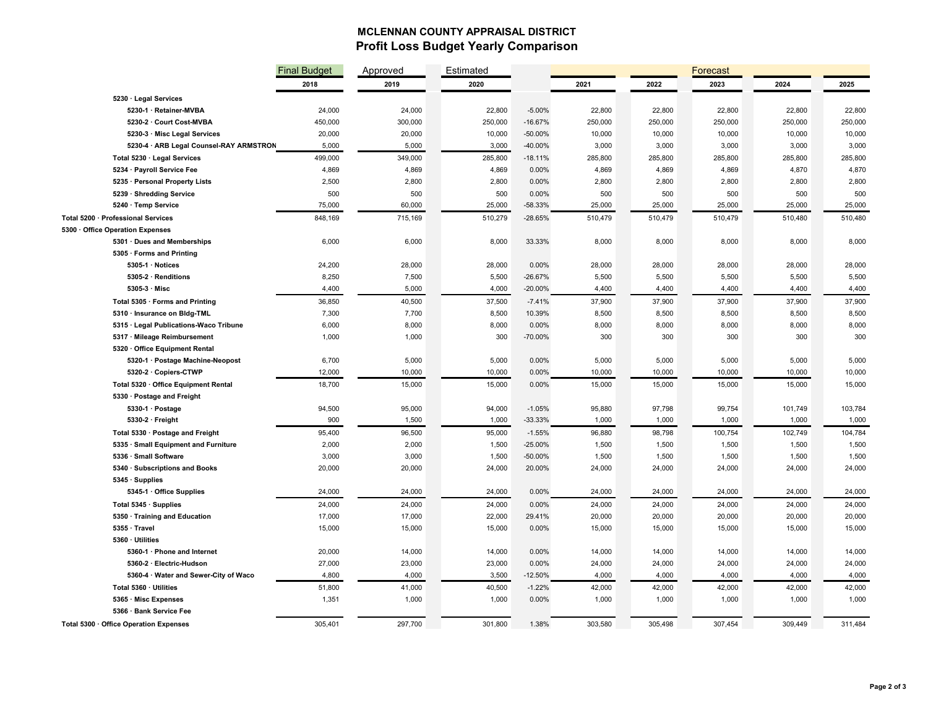## **MCLENNAN COUNTY APPRAISAL DISTRICT Profit Loss Budget Yearly Comparison**

|                                                         | <b>Final Budget</b> | Approved         | Estimated        |                   | Forecast         |                  |                  |                  |                  |
|---------------------------------------------------------|---------------------|------------------|------------------|-------------------|------------------|------------------|------------------|------------------|------------------|
|                                                         | 2018                | 2019             | 2020             |                   | 2021             | 2022             | 2023             | 2024             | 2025             |
| 5230 · Legal Services                                   |                     |                  |                  |                   |                  |                  |                  |                  |                  |
| 5230-1 · Retainer-MVBA                                  | 24,000              | 24,000           | 22,800           | $-5.00%$          | 22,800           | 22,800           | 22,800           | 22,800           | 22,800           |
| 5230-2 · Court Cost-MVBA                                | 450,000             | 300,000          | 250,000          | $-16.67%$         | 250,000          | 250,000          | 250,000          | 250,000          | 250,000          |
| 5230-3 · Misc Legal Services                            | 20,000              | 20,000           | 10,000           | -50.00%           | 10,000           | 10,000           | 10,000           | 10,000           | 10,000           |
| 5230-4 · ARB Legal Counsel-RAY ARMSTRON                 | 5,000               | 5,000            | 3,000            | -40.00%           | 3,000            | 3,000            | 3,000            | 3,000            | 3,000            |
| Total 5230 · Legal Services                             | 499,000             | 349,000          | 285,800          | $-18.11%$         | 285,800          | 285,800          | 285,800          | 285,800          | 285,800          |
| 5234 · Payroll Service Fee                              | 4,869               | 4,869            | 4,869            | 0.00%             | 4,869            | 4,869            | 4,869            | 4,870            | 4,870            |
| 5235 · Personal Property Lists                          | 2,500               | 2,800            | 2,800            | 0.00%             | 2,800            | 2,800            | 2,800            | 2,800            | 2,800            |
| 5239 · Shredding Service                                | 500                 | 500              | 500              | 0.00%             | 500              | 500              | 500              | 500              | 500              |
| 5240 · Temp Service                                     | 75,000              | 60,000           | 25,000           | -58.33%           | 25,000           | 25,000           | 25,000           | 25,000           | 25,000           |
| Total 5200 · Professional Services                      | 848,169             | 715,169          | 510,279          | $-28.65%$         | 510,479          | 510,479          | 510,479          | 510,480          | 510,480          |
| 5300 Office Operation Expenses                          |                     |                  |                  |                   |                  |                  |                  |                  |                  |
| 5301 · Dues and Memberships                             | 6,000               | 6,000            | 8,000            | 33.33%            | 8,000            | 8,000            | 8,000            | 8,000            | 8,000            |
| 5305 · Forms and Printing                               |                     |                  |                  |                   |                  |                  |                  |                  |                  |
| 5305-1 · Notices                                        | 24,200              | 28,000           | 28,000           | 0.00%             | 28,000           | 28,000           | 28,000           | 28,000           | 28,000           |
| 5305-2 · Renditions                                     | 8,250               | 7,500            | 5,500            | $-26.67%$         | 5,500            | 5,500            | 5,500            | 5,500            | 5,500            |
| $5305-3$ $\cdot$ Misc                                   | 4,400               | 5,000            | 4,000            | $-20.00%$         | 4,400            | 4,400            | 4,400            | 4,400            | 4,400            |
| Total 5305 · Forms and Printing                         | 36,850              | 40,500           | 37,500           | $-7.41%$          | 37,900           | 37,900           | 37,900           | 37,900           | 37,900           |
| 5310 · Insurance on Bidg-TML                            | 7,300               | 7,700            | 8,500            | 10.39%            | 8,500            | 8,500            | 8,500            | 8,500            | 8,500            |
| 5315 · Legal Publications-Waco Tribune                  | 6,000               | 8,000            | 8,000            | 0.00%             | 8,000            | 8,000            | 8,000            | 8,000            | 8,000            |
| 5317 · Mileage Reimbursement                            | 1,000               | 1,000            | 300              | -70.00%           | 300              | 300              | 300              | 300              | 300              |
| 5320 · Office Equipment Rental                          |                     |                  |                  |                   |                  |                  |                  |                  |                  |
| 5320-1 · Postage Machine-Neopost                        | 6,700               | 5,000            | 5,000            | 0.00%             | 5,000            | 5,000            | 5,000            | 5,000            | 5,000            |
| 5320-2 · Copiers-CTWP                                   | 12,000              | 10,000           | 10,000           | 0.00%             | 10,000           | 10,000           | 10,000           | 10,000           | 10,000           |
| Total 5320 · Office Equipment Rental                    | 18,700              | 15,000           | 15,000           | 0.00%             | 15,000           | 15,000           | 15,000           | 15,000           | 15,000           |
| 5330 · Postage and Freight                              |                     |                  |                  |                   |                  |                  |                  |                  |                  |
| 5330-1 · Postage                                        | 94,500              | 95,000           | 94,000           | $-1.05%$          | 95,880           | 97,798           | 99,754           | 101,749          | 103,784          |
| 5330-2 · Freight                                        | 900                 | 1,500            | 1,000            | -33.33%           | 1,000            | 1,000            | 1,000            | 1,000            | 1,000            |
| Total 5330 · Postage and Freight                        | 95,400              | 96,500           | 95,000           | $-1.55%$          | 96,880           | 98,798           | 100,754          | 102,749          | 104,784          |
| 5335 · Small Equipment and Furniture                    | 2,000               | 2,000            | 1,500            | $-25.00%$         | 1,500            | 1,500            | 1,500            | 1,500            | 1,500            |
| 5336 · Small Software                                   | 3,000               | 3,000            | 1,500            | -50.00%           | 1,500            | 1,500            | 1,500            | 1,500            | 1,500            |
| 5340 · Subscriptions and Books                          | 20,000              | 20,000           | 24,000           | 20.00%            | 24,000           | 24,000           | 24,000           | 24,000           | 24,000           |
| 5345 · Supplies                                         |                     |                  |                  |                   |                  |                  |                  |                  |                  |
| 5345-1 · Office Supplies                                | 24,000              | 24,000           | 24,000           | 0.00%             | 24,000           | 24,000           | 24,000           | 24,000           | 24,000           |
| Total 5345 · Supplies                                   | 24,000              | 24,000           | 24,000           | 0.00%             | 24,000           | 24,000           | 24,000           | 24,000           | 24,000           |
| 5350 · Training and Education                           | 17,000              | 17,000           | 22,000           | 29.41%            | 20,000           | 20,000           | 20,000           | 20,000           | 20,000           |
| 5355 · Travel                                           | 15,000              | 15,000           | 15,000           | 0.00%             | 15,000           | 15,000           | 15,000           | 15,000           | 15,000           |
| 5360 · Utilities                                        |                     |                  |                  |                   |                  |                  |                  |                  |                  |
| 5360-1 · Phone and Internet<br>5360-2 · Electric-Hudson | 20,000<br>27,000    | 14,000<br>23,000 | 14,000<br>23,000 | 0.00%<br>0.00%    | 14,000<br>24,000 | 14,000<br>24,000 | 14,000<br>24,000 | 14,000<br>24,000 | 14,000<br>24,000 |
|                                                         |                     | 4,000            |                  | $-12.50%$         | 4,000            | 4,000            | 4,000            | 4,000            | 4,000            |
| 5360-4 · Water and Sewer-City of Waco                   | 4,800               |                  | 3,500            |                   |                  |                  |                  |                  |                  |
| Total 5360 · Utilities                                  | 51,800              | 41,000           | 40,500           | $-1.22%$<br>0.00% | 42,000           | 42,000<br>1,000  | 42,000           | 42,000<br>1,000  | 42,000<br>1,000  |
| 5365 · Misc Expenses<br>5366 · Bank Service Fee         | 1,351               | 1,000            | 1,000            |                   | 1,000            |                  | 1,000            |                  |                  |
|                                                         |                     |                  |                  |                   |                  |                  |                  |                  |                  |
| Total 5300 · Office Operation Expenses                  | 305,401             | 297,700          | 301,800          | 1.38%             | 303,580          | 305,498          | 307,454          | 309,449          | 311,484          |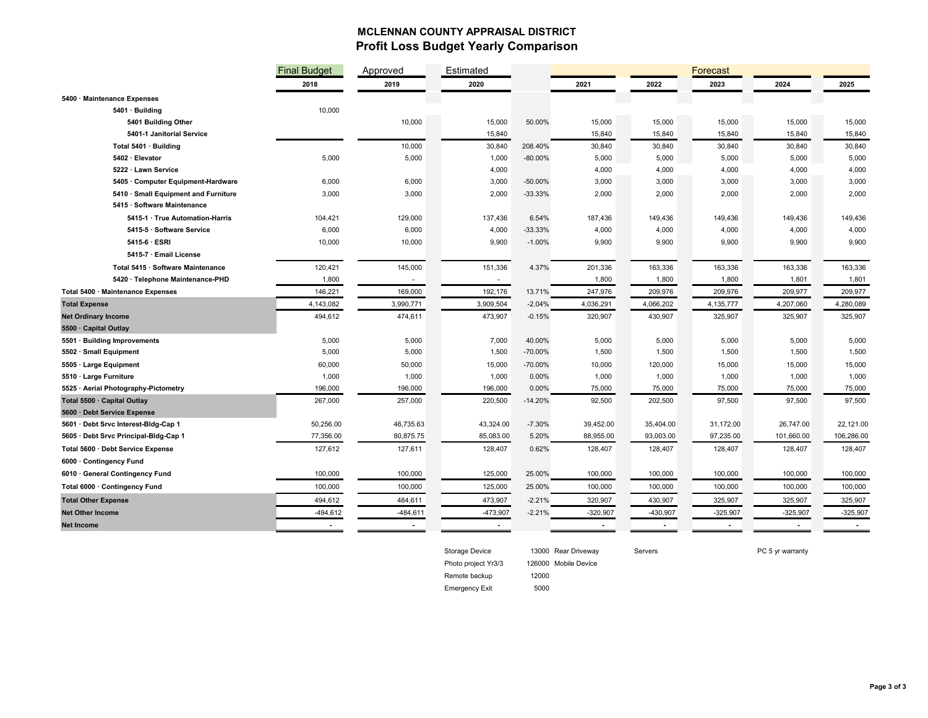## **MCLENNAN COUNTY APPRAISAL DISTRICT Profit Loss Budget Yearly Comparison**

|                                       | <b>Final Budget</b> | Approved       | Estimated  |            |                |           | Forecast   |                |            |
|---------------------------------------|---------------------|----------------|------------|------------|----------------|-----------|------------|----------------|------------|
|                                       | 2018                | 2019           | 2020       |            | 2021           | 2022      | 2023       | 2024           | 2025       |
| 5400 · Maintenance Expenses           |                     |                |            |            |                |           |            |                |            |
| 5401 · Building                       | 10,000              |                |            |            |                |           |            |                |            |
| 5401 Building Other                   |                     | 10,000         | 15,000     | 50.00%     | 15,000         | 15,000    | 15,000     | 15,000         | 15,000     |
| 5401-1 Janitorial Service             |                     |                | 15,840     |            | 15,840         | 15,840    | 15,840     | 15,840         | 15,840     |
| Total 5401 · Building                 |                     | 10,000         | 30,840     | 208.40%    | 30,840         | 30,840    | 30,840     | 30,840         | 30,840     |
| 5402 · Elevator                       | 5,000               | 5,000          | 1,000      | $-80.00\%$ | 5,000          | 5,000     | 5,000      | 5,000          | 5,000      |
| 5222 · Lawn Service                   |                     |                | 4,000      |            | 4,000          | 4,000     | 4,000      | 4,000          | 4,000      |
| 5405 Computer Equipment-Hardware      | 6,000               | 6,000          | 3,000      | $-50.00\%$ | 3,000          | 3,000     | 3,000      | 3,000          | 3,000      |
| 5410 · Small Equipment and Furniture  | 3,000               | 3,000          | 2,000      | $-33.33%$  | 2,000          | 2,000     | 2,000      | 2,000          | 2,000      |
| 5415 · Software Maintenance           |                     |                |            |            |                |           |            |                |            |
| 5415-1 · True Automation-Harris       | 104,421             | 129,000        | 137,436    | 6.54%      | 187,436        | 149,436   | 149,436    | 149,436        | 149,436    |
| 5415-5 · Software Service             | 6,000               | 6,000          | 4,000      | $-33.33%$  | 4,000          | 4,000     | 4,000      | 4,000          | 4,000      |
| 5415-6 · ESRI                         | 10,000              | 10,000         | 9,900      | $-1.00%$   | 9,900          | 9,900     | 9,900      | 9,900          | 9,900      |
| 5415-7 · Email License                |                     |                |            |            |                |           |            |                |            |
| Total 5415 · Software Maintenance     | 120,421             | 145,000        | 151,336    | 4.37%      | 201,336        | 163,336   | 163,336    | 163,336        | 163,336    |
| 5420 · Telephone Maintenance-PHD      | 1,800               | $\sim$         | $\sim$     |            | 1,800          | 1,800     | 1,800      | 1,801          | 1,801      |
| Total 5400 · Maintenance Expenses     | 146,221             | 169,000        | 192,176    | 13.71%     | 247,976        | 209,976   | 209,976    | 209,977        | 209,977    |
| <b>Total Expense</b>                  | 4,143,082           | 3,990,771      | 3,909,504  | $-2.04%$   | 4,036,291      | 4,066,202 | 4,135,777  | 4,207,060      | 4,280,089  |
| <b>Net Ordinary Income</b>            | 494,612             | 474,611        | 473,907    | $-0.15%$   | 320,907        | 430,907   | 325,907    | 325,907        | 325,907    |
| 5500 · Capital Outlay                 |                     |                |            |            |                |           |            |                |            |
| 5501 · Building Improvements          | 5,000               | 5,000          | 7,000      | 40.00%     | 5,000          | 5,000     | 5,000      | 5,000          | 5,000      |
| 5502 · Small Equipment                | 5,000               | 5,000          | 1,500      | $-70.00%$  | 1,500          | 1,500     | 1,500      | 1,500          | 1,500      |
| 5505 · Large Equipment                | 60,000              | 50,000         | 15,000     | -70.00%    | 10,000         | 120,000   | 15,000     | 15,000         | 15,000     |
| 5510 · Large Furniture                | 1,000               | 1,000          | 1,000      | 0.00%      | 1,000          | 1,000     | 1,000      | 1,000          | 1,000      |
| 5525 · Aerial Photography-Pictometry  | 196,000             | 196,000        | 196,000    | 0.00%      | 75,000         | 75,000    | 75,000     | 75,000         | 75,000     |
| Total 5500 · Capital Outlay           | 267,000             | 257,000        | 220,500    | $-14.20%$  | 92,500         | 202,500   | 97,500     | 97,500         | 97,500     |
| 5600 · Debt Service Expense           |                     |                |            |            |                |           |            |                |            |
| 5601 · Debt Srvc Interest-Bidg-Cap 1  | 50,256.00           | 46,735.63      | 43,324.00  | $-7.30%$   | 39,452.00      | 35,404.00 | 31,172.00  | 26,747.00      | 22,121.00  |
| 5605 · Debt Srvc Principal-Bldg-Cap 1 | 77,356.00           | 80,875.75      | 85,083.00  | 5.20%      | 88,955.00      | 93,003.00 | 97,235.00  | 101,660.00     | 106,286.00 |
| Total 5600 · Debt Service Expense     | 127,612             | 127,611        | 128,407    | 0.62%      | 128,407        | 128,407   | 128,407    | 128,407        | 128,407    |
| 6000 · Contingency Fund               |                     |                |            |            |                |           |            |                |            |
| 6010 · General Contingency Fund       | 100,000             | 100,000        | 125,000    | 25.00%     | 100,000        | 100,000   | 100,000    | 100,000        | 100,000    |
| Total 6000 · Contingency Fund         | 100,000             | 100,000        | 125,000    | 25.00%     | 100,000        | 100,000   | 100,000    | 100,000        | 100,000    |
| <b>Total Other Expense</b>            | 494,612             | 484,611        | 473,907    | $-2.21%$   | 320,907        | 430,907   | 325,907    | 325,907        | 325,907    |
| <b>Net Other Income</b>               | $-494,612$          | $-484,611$     | $-473,907$ | $-2.21%$   | $-320,907$     | -430,907  | $-325,907$ | $-325,907$     | $-325,907$ |
| <b>Net Income</b>                     | $\mathbf{r}$        | $\blacksquare$ | $\sim$     |            | $\blacksquare$ |           |            | $\blacksquare$ |            |
|                                       |                     |                |            |            |                |           |            |                |            |



Storage Device 13000 Rear Driveway Servers Servers PC 5 yr warranty

Remote backup 12000

Emergency Exit 5000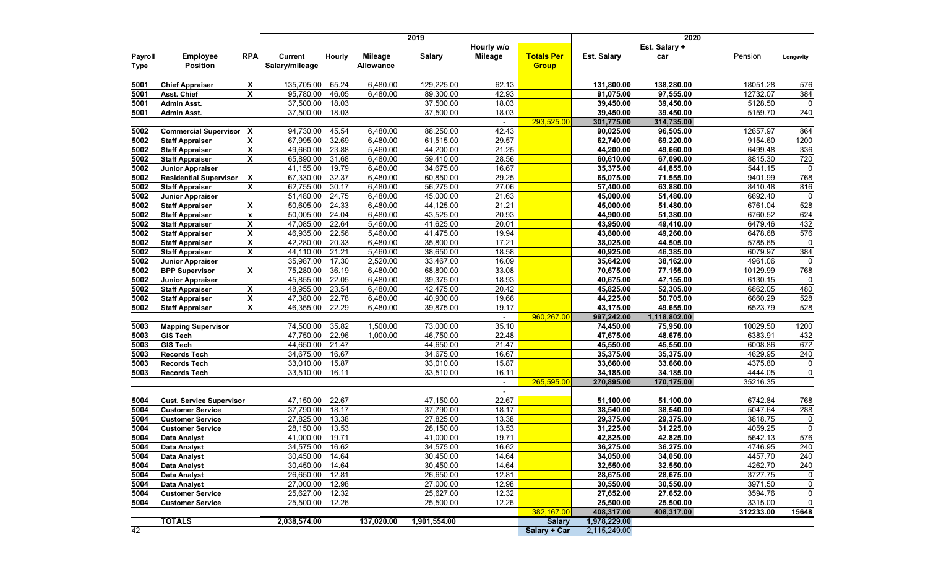|                        |                                       |              |                                  |               |                             | 2019          |            |                                   | 2020                    |                         |                      |                               |
|------------------------|---------------------------------------|--------------|----------------------------------|---------------|-----------------------------|---------------|------------|-----------------------------------|-------------------------|-------------------------|----------------------|-------------------------------|
|                        |                                       |              |                                  |               |                             |               | Hourly w/o |                                   |                         | Est. Salary +           |                      |                               |
| Payroll<br><b>Type</b> | <b>Employee</b><br><b>Position</b>    | <b>RPA</b>   | <b>Current</b><br>Salary/mileage | <b>Hourly</b> | Mileage<br><b>Allowance</b> | <b>Salary</b> | Mileage    | <b>Totals Per</b><br><b>Group</b> | <b>Est. Salary</b>      | car                     | Pension              | Longevity                     |
| 5001                   |                                       |              | 135,705.00                       | 65.24         | 6,480.00                    | 129,225.00    | 62.13      |                                   | 131,800.00              | 138,280.00              | 18051.28             | 576                           |
| 5001                   | <b>Chief Appraiser</b><br>Asst. Chief | X<br>X       | 95,780.00                        | 46.05         | 6,480.00                    | 89,300.00     | 42.93      |                                   | 91,075.00               | 97,555.00               | 12732.07             | 384                           |
| 5001                   | <b>Admin Asst.</b>                    |              | 37,500.00                        | 18.03         |                             | 37,500.00     | 18.03      |                                   | 39,450.00               | 39,450.00               | 5128.50              | $\overline{0}$                |
| 5001                   | <b>Admin Asst.</b>                    |              | 37,500.00                        | 18.03         |                             | 37,500.00     | 18.03      |                                   | 39,450.00               | 39,450.00               | 5159.70              | 240                           |
|                        |                                       |              |                                  |               |                             |               | $\sim$     | 293,525.00                        | 301,775.00              | 314,735.00              |                      |                               |
| 5002                   | <b>Commercial Supervisor X</b>        |              | 94,730.00                        | 45.54         | 6,480.00                    | 88,250.00     | 42.43      |                                   | 90,025.00               | 96,505.00               | 12657.97             | 864                           |
| 5002                   | <b>Staff Appraiser</b>                | X            | 67,995.00                        | 32.69         | 6,480.00                    | 61,515.00     | 29.57      |                                   | 62,740.00               | 69,220.00               | 9154.60              | 1200                          |
| 5002                   | <b>Staff Appraiser</b>                | X            | 49,660.00                        | 23.88         | 5,460.00                    | 44,200.00     | 21.25      |                                   | 44,200.00               | 49,660.00               | 6499.48              | 336                           |
| 5002                   | <b>Staff Appraiser</b>                | X            | 65,890.00                        | 31.68         | 6,480.00                    | 59,410.00     | 28.56      |                                   | 60,610.00               | 67,090.00               | 8815.30              | 720                           |
| 5002                   | Junior Appraiser                      |              | 41,155.00                        | 19.79         | 6,480.00                    | 34,675.00     | 16.67      |                                   | 35,375.00               | 41,855.00               | 5441.15              | $\mathbf 0$                   |
| 5002                   | <b>Residential Supervisor</b>         | X            | 67,330.00                        | 32.37         | 6,480.00                    | 60,850.00     | 29.25      |                                   | 65,075.00               | 71,555.00               | 9401.99              | 768                           |
| 5002                   | <b>Staff Appraiser</b>                | X            | 62,755.00                        | 30.17         | 6,480.00                    | 56,275.00     | 27.06      |                                   | 57,400.00               | 63,880.00               | 8410.48              | 816                           |
| 5002                   | <b>Junior Appraiser</b>               |              | 51,480.00                        | 24.75         | 6,480.00                    | 45,000.00     | 21.63      |                                   | 45,000.00               | 51,480.00               | 6692.40              | $\mathbf 0$                   |
| 5002                   | <b>Staff Appraiser</b>                | X            | 50,605.00                        | 24.33         | 6,480.00                    | 44,125.00     | 21.21      |                                   | 45,000.00               | 51,480.00               | 6761.04              | 528                           |
| 5002                   | <b>Staff Appraiser</b>                | $\mathbf{x}$ | 50,005.00                        | 24.04         | 6,480.00                    | 43,525.00     | 20.93      |                                   | 44,900.00               | 51,380.00               | 6760.52              | 624                           |
| 5002                   | <b>Staff Appraiser</b>                | X            | 47,085.00                        | 22.64         | 5,460.00                    | 41,625.00     | 20.01      |                                   | 43,950.00               | 49,410.00               | 6479.46              | 432                           |
| 5002                   | <b>Staff Appraiser</b>                | X            | 46,935.00                        | 22.56         | 5,460.00                    | 41,475.00     | 19.94      |                                   | 43,800.00               | 49,260.00               | 6478.68              | 576                           |
| 5002                   | <b>Staff Appraiser</b>                | X            | 42,280.00                        | 20.33         | 6,480.00                    | 35,800.00     | 17.21      |                                   | 38,025.00               | 44,505.00               | 5785.65              | $\overline{0}$                |
| 5002                   | <b>Staff Appraiser</b>                | X            | 44,110.00                        | 21.21         | 5,460.00                    | 38,650.00     | 18.58      |                                   | 40,925.00               | 46,385.00               | 6079.97              | 384                           |
| 5002                   | <b>Junior Appraiser</b>               |              | 35,987.00                        | 17.30         | 2,520.00                    | 33,467.00     | 16.09      |                                   | 35,642.00               | 38,162.00               | 4961.06              | $\Omega$                      |
| 5002                   | <b>BPP Supervisor</b>                 | X            | 75,280.00                        | 36.19         | 6,480.00                    | 68,800.00     | 33.08      |                                   | 70,675.00               | 77,155.00               | 10129.99             | 768                           |
| 5002                   | <b>Junior Appraiser</b>               |              | 45,855.00                        | 22.05         | 6,480.00                    | 39,375.00     | 18.93      |                                   | 40,675.00               | 47,155.00               | 6130.15              | $\Omega$                      |
| 5002                   | <b>Staff Appraiser</b>                | X            | 48,955.00                        | 23.54         | 6,480.00                    | 42,475.00     | 20.42      |                                   | 45,825.00               | 52,305.00               | 6862.05              | 480                           |
| 5002                   | <b>Staff Appraiser</b>                | X            | 47,380.00                        | 22.78         | 6,480.00                    | 40,900.00     | 19.66      |                                   | 44,225.00               | 50,705.00               | 6660.29              | 528                           |
| 5002                   | <b>Staff Appraiser</b>                | X            | 46,355.00                        | 22.29         | 6,480.00                    | 39,875.00     | 19.17      |                                   | 43,175.00               | 49,655.00               | 6523.79              | 528                           |
|                        |                                       |              |                                  |               |                             |               |            | 960,267.00                        | 997,242.00              | 1,118,802.00            |                      |                               |
| 5003                   | <b>Mapping Supervisor</b>             |              | 74,500.00                        | 35.82         | 1,500.00                    | 73,000.00     | 35.10      |                                   | 74,450.00               | 75,950.00               | 10029.50             | 1200                          |
| 5003                   | <b>GIS Tech</b>                       |              | 47,750.00                        | 22.96         | 1,000.00                    | 46,750.00     | 22.48      |                                   | 47,675.00               | 48,675.00               | 6383.91              | 432                           |
| 5003                   | <b>GIS Tech</b>                       |              | 44,650.00                        | 21.47         |                             | 44,650.00     | 21.47      |                                   | 45,550.00               | 45,550.00               | 6008.86              | 672                           |
| 5003                   | <b>Records Tech</b>                   |              | 34,675.00                        | 16.67         |                             | 34,675.00     | 16.67      |                                   | 35,375.00               | 35,375.00               | 4629.95              | 240                           |
| 5003                   | <b>Records Tech</b>                   |              | 33,010.00                        | 15.87         |                             | 33,010.00     | 15.87      |                                   | 33,660.00               | 33,660.00               | 4375.80              | $\mathbf 0$<br>$\overline{0}$ |
| 5003                   | <b>Records Tech</b>                   |              | 33,510.00                        | 16.11         |                             | 33,510.00     | 16.11      | 265,595.00                        | 34,185.00               | 34,185.00               | 4444.05              |                               |
|                        |                                       |              |                                  |               |                             |               | $\sim$     |                                   | 270,895.00              | 170,175.00              | 35216.35             |                               |
| 5004                   | <b>Cust. Service Supervisor</b>       |              | 47,150.00                        | 22.67         |                             | 47,150.00     | 22.67      |                                   | 51,100.00               | 51,100.00               | 6742.84              | 768                           |
| 5004                   | <b>Customer Service</b>               |              | 37,790.00                        | 18.17         |                             | 37,790.00     | 18.17      |                                   | 38,540.00               | 38,540.00               | 5047.64              | 288                           |
| 5004                   | <b>Customer Service</b>               |              | 27,825.00                        | 13.38         |                             | 27,825.00     | 13.38      |                                   | 29,375.00               | 29,375.00               | 3818.75              | $\overline{0}$                |
| 5004                   | <b>Customer Service</b>               |              | 28,150.00                        | 13.53         |                             | 28,150.00     | 13.53      |                                   | 31,225.00               | 31,225.00               | 4059.25              | $\overline{0}$                |
| 5004                   | Data Analyst                          |              | 41,000.00                        | 19.71         |                             | 41,000.00     | 19.71      |                                   | 42,825.00               | 42,825.00               | 5642.13              | 576                           |
| 5004                   | <b>Data Analyst</b>                   |              | 34,575.00 16.62                  |               |                             | 34,575.00     | 16.62      |                                   | 36,275.00               | 36,275.00               | 4746.95              | 240                           |
| 5004                   | Data Analyst                          |              | 30,450.00 14.64                  |               |                             | 30,450.00     | 14.64      |                                   | 34,050.00               | 34,050.00               | 4457.70              | 240                           |
| 5004                   | Data Analyst                          |              | 30,450.00 14.64                  |               |                             | 30,450.00     | 14.64      |                                   | 32,550.00               | 32,550.00               | 4262.70              | 240                           |
| 5004                   | Data Analyst                          |              | 26,650.00 12.81                  |               |                             | 26,650.00     | 12.81      |                                   | 28,675.00               | 28,675.00               | 3727.75              | $\overline{0}$                |
| 5004                   | Data Analyst                          |              | 27,000.00                        | 12.98         |                             | 27,000.00     | 12.98      |                                   | 30,550.00               | 30,550.00               | 3971.50              | $\overline{0}$                |
| 5004                   | <b>Customer Service</b>               |              | 25,627.00                        | 12.32         |                             | 25,627.00     | 12.32      |                                   | 27,652.00               | 27,652.00               | 3594.76              | $\overline{0}$                |
| 5004                   | <b>Customer Service</b>               |              | 25,500.00                        | 12.26         |                             | 25,500.00     | 12.26      | 382,167.00                        | 25,500.00<br>408,317.00 | 25,500.00<br>408,317.00 | 3315.00<br>312233.00 | $\overline{0}$<br>15648       |
|                        | <b>TOTALS</b>                         |              | 2,038,574.00                     |               | 137,020.00                  | 1,901,554.00  |            | <b>Salary</b>                     | 1,978,229.00            |                         |                      |                               |
| 42                     |                                       |              |                                  |               |                             |               |            | Salary + Car                      | 2,115,249.00            |                         |                      |                               |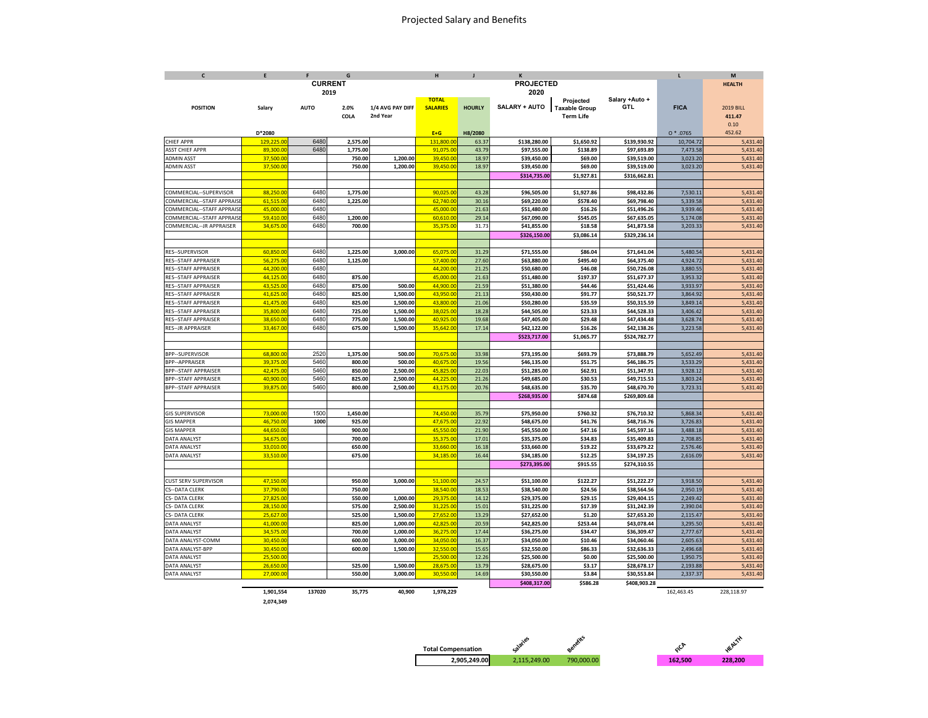### Projected Salary and Benefits

| $\mathsf{c}$                | E          | F              | G        |                  | н               | J             | $\kappa$         |                      |                | L           | M                |
|-----------------------------|------------|----------------|----------|------------------|-----------------|---------------|------------------|----------------------|----------------|-------------|------------------|
|                             |            | <b>CURRENT</b> |          |                  |                 |               | <b>PROJECTED</b> |                      |                |             | <b>HEALTH</b>    |
|                             |            |                | 2019     |                  |                 |               | 2020             |                      |                |             |                  |
|                             |            |                |          |                  | <b>TOTAL</b>    |               |                  | Projected            | Salary +Auto + |             |                  |
| <b>POSITION</b>             | Salary     | <b>AUTO</b>    | 2.0%     | 1/4 AVG PAY DIFF | <b>SALARIES</b> | <b>HOURLY</b> | SALARY + AUTO    | <b>Taxable Group</b> | GTL            | <b>FICA</b> | <b>2019 BILL</b> |
|                             |            |                | COLA     | 2nd Year         |                 |               |                  | <b>Term Life</b>     |                |             | 411.47           |
|                             |            |                |          |                  |                 |               |                  |                      |                |             | 0.10             |
|                             | D*2080     |                |          |                  | $E+G$           | H8/2080       |                  |                      |                | $0 * .0765$ | 452.62           |
| CHIEF APPR                  | 129,225.00 | 6480           | 2,575.00 |                  | 131,800.00      | 63.37         | \$138,280.00     | \$1,650.92           | \$139,930.92   | 10,704.72   | 5,431.40         |
| <b>ASST CHIEF APPR</b>      | 89,300.0   | 6480           | 1,775.00 |                  | 91,075.0        | 43.79         | \$97,555.00      | \$138.89             | \$97,693.89    | 7,473.58    | 5,431.40         |
| ADMIN ASST                  | 37,500.00  |                | 750.00   | 1,200.00         | 39,450.00       | 18.97         | \$39,450.00      | \$69.00              | \$39,519.00    | 3,023.20    | 5,431.40         |
| <b>ADMIN ASST</b>           | 37,500.00  |                | 750.00   | 1,200.00         | 39,450.00       | 18.97         | \$39,450.00      | \$69.00              | \$39,519.00    | 3,023.20    | 5,431.40         |
|                             |            |                |          |                  |                 |               | \$314,735.00     | \$1,927.81           | \$316,662.81   |             |                  |
|                             |            |                |          |                  |                 |               |                  |                      |                |             |                  |
| COMMERCIAL--SUPERVISOR      | 88,250.00  | 6480           | 1,775.00 |                  | 90,025.00       | 43.28         | \$96,505.00      | \$1,927.86           | \$98,432.86    | 7,530.11    | 5,431.40         |
| COMMERCIAL--STAFF APPRAISE  | 61,515.00  | 6480           | 1,225.00 |                  | 62,740.00       | 30.16         | \$69,220.00      | \$578.40             | \$69,798.40    | 5,339.58    | 5,431.40         |
| COMMERCIAL--STAFF APPRAISI  | 45,000.00  | 6480           |          |                  | 45,000.00       | 21.63         | \$51,480.00      | \$16.26              | \$51,496.26    | 3,939.46    | 5,431.40         |
| COMMERCIAL--STAFF APPRAISI  | 59,410.00  | 6480           | 1,200.00 |                  | 60,610.00       | 29.14         | \$67,090.00      | \$545.05             | \$67,635.05    | 5,174.08    | 5,431.40         |
| COMMERCIAL--JR APPRAISER    | 34,675.00  | 6480           | 700.00   |                  | 35,375.00       | 31.73         | \$41,855.00      | \$18.58              | \$41,873.58    | 3,203.33    | 5,431.40         |
|                             |            |                |          |                  |                 |               | \$326,150.00     | \$3,086.14           | \$329,236.14   |             |                  |
|                             |            |                |          |                  |                 |               |                  |                      |                |             |                  |
| RES--SUPERVISOR             | 60,850.00  | 6480           | 1,225.00 | 3,000.00         | 65,075.00       | 31.29         | \$71,555.00      | \$86.04              | \$71,641.04    | 5,480.54    | 5,431.40         |
| <b>RES--STAFF APPRAISER</b> | 56,275.00  | 6480           | 1,125.00 |                  | 57,400.0        | 27.60         | \$63,880.00      | \$495.40             | \$64,375.40    | 4,924.72    | 5,431.40         |
| RES--STAFF APPRAISER        | 44,200.00  | 6480           |          |                  | 44,200.00       | 21.25         | \$50,680.00      | \$46.08              | \$50,726.08    | 3,880.55    | 5,431.40         |
| <b>RES--STAFF APPRAISER</b> | 44,125.00  | 6480           | 875.00   |                  | 45,000.00       | 21.63         | \$51,480.00      | \$197.37             | \$51,677.37    | 3,953.32    | 5,431.40         |
| RES--STAFF APPRAISER        | 43,525.00  | 6480           | 875.00   | 500.00           | 44,900.00       | 21.59         | \$51,380.00      | \$44.46              | \$51,424.46    | 3,933.97    | 5,431.40         |
| <b>RES--STAFF APPRAISER</b> | 41.625.00  | 6480           | 825.00   | 1,500.00         | 43.950.00       | 21.13         | \$50,430.00      | \$91.77              |                | 3,864.92    | 5,431.40         |
|                             | 41,475.00  | 6480           | 825.00   |                  |                 | 21.06         |                  | \$35.59              | \$50,521.77    |             |                  |
| <b>RES--STAFF APPRAISER</b> |            |                |          | 1,500.00         | 43,800.00       |               | \$50,280.00      |                      | \$50,315.59    | 3,849.14    | 5,431.40         |
| RES--STAFF APPRAISER        | 35,800.00  | 6480           | 725.00   | 1,500.00         | 38,025.00       | 18.28         | \$44,505.00      | \$23.33              | \$44,528.33    | 3,406.42    | 5,431.40         |
| RES--STAFF APPRAISER        | 38,650.00  | 6480           | 775.00   | 1,500.00         | 40,925.00       | 19.68         | \$47,405.00      | \$29.48              | \$47,434.48    | 3,628.74    | 5,431.40         |
| RES--JR APPRAISER           | 33,467.00  | 6480           | 675.00   | 1,500.00         | 35,642.00       | 17.14         | \$42,122.00      | \$16.26              | \$42,138.26    | 3,223.58    | 5,431.40         |
|                             |            |                |          |                  |                 |               | \$523,717.00     | \$1,065.77           | \$524,782.77   |             |                  |
|                             |            |                |          |                  |                 |               |                  |                      |                |             |                  |
| BPP--SUPERVISOR             | 68,800.00  | 2520           | 1,375.00 | 500.00           | 70,675.00       | 33.98         | \$73,195.00      | \$693.79             | \$73,888.79    | 5,652.49    | 5,431.40         |
| BPP--APPRAISER              | 39,375.00  | 5460           | 800.00   | 500.00           | 40,675.00       | 19.56         | \$46,135.00      | \$51.75              | \$46,186.75    | 3,533.29    | 5,431.40         |
| <b>BPP--STAFF APPRAISER</b> | 42,475.00  | 5460           | 850.00   | 2,500.00         | 45,825.00       | 22.03         | \$51,285.00      | \$62.91              | \$51,347.91    | 3,928.12    | 5,431.40         |
| BPP--STAFF APPRAISER        | 40,900.00  | 5460           | 825.00   | 2,500.00         | 44,225.00       | 21.26         | \$49,685.00      | \$30.53              | \$49,715.53    | 3,803.24    | 5,431.40         |
| <b>BPP--STAFF APPRAISER</b> | 39,875.00  | 5460           | 800.00   | 2,500.00         | 43,175.00       | 20.76         | \$48,635.00      | \$35.70              | \$48,670.70    | 3,723.31    | 5,431.40         |
|                             |            |                |          |                  |                 |               | \$268,935.00     | \$874.68             | \$269,809.68   |             |                  |
|                             |            |                |          |                  |                 |               |                  |                      |                |             |                  |
| <b>GIS SUPERVISOR</b>       | 73,000.00  | 1500           | 1,450.00 |                  | 74,450.00       | 35.79         | \$75,950.00      | \$760.32             | \$76,710.32    | 5,868.34    | 5,431.40         |
| <b>GIS MAPPER</b>           | 46,750.00  | 1000           | 925.00   |                  | 47,675.00       | 22.92         | \$48,675.00      | \$41.76              | \$48,716.76    | 3,726.83    | 5,431.40         |
| <b>GIS MAPPER</b>           | 44,650.00  |                | 900.00   |                  | 45,550.00       | 21.90         | \$45,550.00      | \$47.16              | \$45,597.16    | 3,488.18    | 5,431.40         |
| <b>DATA ANALYST</b>         | 34,675.00  |                | 700.00   |                  | 35.375.00       | 17.01         | \$35,375.00      | \$34.83              | \$35,409.83    | 2,708.85    | 5,431.40         |
| DATA ANALYST                | 33,010.00  |                | 650.00   |                  | 33,660.00       | 16.18         | \$33,660.00      | \$19.22              | \$33,679.22    | 2,576.46    | 5,431.40         |
| <b>DATA ANALYST</b>         | 33,510.00  |                | 675.00   |                  | 34,185.00       | 16.44         | \$34,185.00      | \$12.25              | \$34,197.25    | 2,616.09    | 5,431.40         |
|                             |            |                |          |                  |                 |               | \$273,395.00     | \$915.55             | \$274,310.55   |             |                  |
|                             |            |                |          |                  |                 |               |                  |                      |                |             |                  |
| CUST SERV SUPERVISOR        | 47,150.00  |                | 950.00   | 3,000.00         | 51,100.0        | 24.57         | \$51,100.00      | \$122.27             | \$51,222.27    | 3,918.50    | 5,431.40         |
| S--DATA CLERK               | 37,790.00  |                | 750.00   |                  | 38,540.00       | 18.53         | \$38,540.00      | \$24.56              | \$38,564.56    | 2,950.19    | 5,431.40         |
| CS-DATA CLERK               | 27,825.00  |                | 550.00   | 1,000.00         | 29.375.0        | 14.12         | \$29,375.00      | \$29.15              | \$29,404.15    | 2,249.42    | 5,431.40         |
| S- DATA CLERK               | 28,150.00  |                | 575.00   | 2,500.00         | 31,225.00       | 15.01         | \$31,225.00      | \$17.39              | \$31,242.39    | 2,390.04    | 5,431.40         |
| CS-DATA CLERK               | 25,627.00  |                | 525.00   | 1,500.00         | 27,652.00       | 13.29         | \$27,652.00      | \$1.20               | \$27,653.20    | 2,115.47    | 5,431.40         |
| <b>DATA ANALYST</b>         | 41.000.00  |                | 825.00   | 1,000.00         | 42.825.00       | 20.59         | \$42,825.00      | \$253.44             | \$43,078.44    | 3,295.50    | 5,431.40         |
| <b>DATA ANALYST</b>         | 34,575.00  |                | 700.00   | 1,000.00         | 36,275.00       | 17.44         | \$36,275.00      | \$34.47              | \$36,309.47    | 2,777.67    | 5,431.40         |
| DATA ANALYST-COMM           | 30,450.00  |                | 600.00   | 3,000.00         | 34,050.00       | 16.37         | \$34,050.00      | \$10.46              | \$34,060.46    | 2,605.63    | 5,431.40         |
| DATA ANALYST-BPP            | 30,450.00  |                | 600.00   | 1,500.00         | 32,550.00       | 15.65         | \$32,550.00      | \$86.33              | \$32,636.33    | 2,496.68    | 5,431.40         |
| <b>DATA ANALYST</b>         | 25,500.00  |                |          |                  | 25,500.0        | 12.26         | \$25,500.00      | \$0.00               | \$25,500.00    | 1,950.75    | 5,431.40         |
| <b>DATA ANALYST</b>         | 26,650.00  |                | 525.00   | 1,500.00         | 28,675.00       | 13.79         | \$28,675.00      | \$3.17               | \$28,678.17    | 2,193.88    | 5,431.40         |
| <b>DATA ANALYST</b>         | 27,000.00  |                | 550.00   | 3.000.00         | 30,550.00       | 14.69         | \$30,550.00      | \$3.84               | \$30,553.84    | 2,337.37    | 5,431.40         |
|                             |            |                |          |                  |                 |               | \$408,317.00     | \$586.28             | \$408,903.28   |             |                  |
|                             |            |                |          |                  |                 |               |                  |                      |                |             |                  |

**2,074,349**

**1,901,554 137020 35,775 40,900 1,978,229** 162,463.45 228,118.97



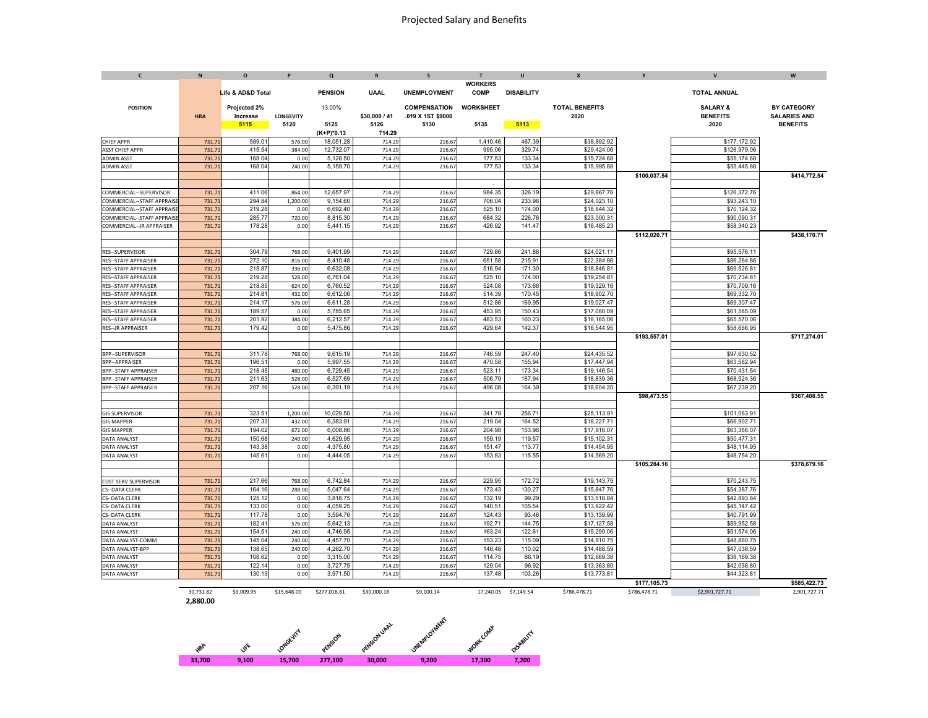| $\mathbf{c}$                                               | $\mathsf N$    | $\circ$           | P                | $\Omega$             | $\mathsf{R}$     | s                   | T.               | $\mathbf{u}$      | $\mathbf{x}$               | Y            | $\mathbf v$                | W                   |
|------------------------------------------------------------|----------------|-------------------|------------------|----------------------|------------------|---------------------|------------------|-------------------|----------------------------|--------------|----------------------------|---------------------|
|                                                            |                |                   |                  |                      |                  |                     | <b>WORKERS</b>   |                   |                            |              |                            |                     |
|                                                            |                | Life & AD&D Total |                  | <b>PENSION</b>       | <b>UAAL</b>      | <b>UNEMPLOYMENT</b> | COMP             | <b>DISABILITY</b> |                            |              | <b>TOTAL ANNUAL</b>        |                     |
| <b>POSITION</b>                                            |                | Projected 2%      |                  | 13.00%               |                  | <b>COMPENSATION</b> | <b>WORKSHEET</b> |                   | <b>TOTAL BENEFITS</b>      |              | <b>SALARY &amp;</b>        | <b>BY CATEGORY</b>  |
|                                                            | <b>HRA</b>     | Increase          | <b>LONGEVITY</b> |                      | \$30,000 / 41    | .019 X 1ST \$9000   |                  |                   | 2020                       |              | <b>BENEFITS</b>            | <b>SALARIES AND</b> |
|                                                            |                | 5115              | 5120             | 5125                 | 5126             | 5130                | 5135             | 5113              |                            |              | 2020                       | <b>BENEFITS</b>     |
|                                                            |                |                   |                  | $(K+P)^*0.13$        | 714.29           |                     |                  |                   |                            |              |                            |                     |
| <b>CHIEF APPR</b>                                          | 731.73         | 589.01            | 576.00           | 18,051.28            | 714.29           | 216.67              | 1.410.46         | 467.39            | \$38,892.92                |              | \$177,172.92               |                     |
| <b>ASST CHIEF APPR</b>                                     | 731.7          | 415.54            | 384.00           | 12,732.07            | 714.29           | 216.67              | 995.06           | 329.74            | \$29,424.06                |              | \$126,979.06               |                     |
| <b>ADMIN ASST</b>                                          | 731.7          | 168.04            | 0.00             | 5,128.50             | 714.2            | 216.67              | 177.53           | 133.34            | \$15,724.68                |              | \$55,174.68                |                     |
| <b>ADMIN ASST</b>                                          | 731.7          | 168.04            | 240.00           | 5,159.70             | 714.29           | 216.67              | 177.53           | 133.34            | \$15,995.88                |              | \$55,445.88                |                     |
|                                                            |                |                   |                  |                      |                  |                     |                  |                   |                            | \$100.037.54 |                            | \$414.772.54        |
|                                                            |                |                   |                  |                      |                  |                     |                  |                   |                            |              |                            |                     |
| COMMERCIAL--SUPERVISOR                                     | 731.73         | 411.06            | 864.00           | 12,657.97            | 714.2            | 216.67              | 984.35           | 326.19            | \$29,867.76                |              | \$126,372.76               |                     |
| OMMERCIAL--STAFF APPRAIS                                   | 731.7          | 294.84            | 1,200.0          | 9,154.60             | 714.29           | 216.67              | 706.04           | 233.96            | \$24,023.10                |              | \$93,243.10                |                     |
| OMMERCIAL--STAFF APPRAIS                                   | 731.7          | 219.28            | 0.00             | 6.692.40             | 714.29           | 216.67              | 525.10           | 174.00            | \$18,644.32                |              | \$70.124.32                |                     |
| OMMERCIAL--STAFF APPRAIS                                   | 731.7          | 285.77            | 720.00           | 8,815.30             | 714.29           | 216.67              | 684.32           | 226.76            | \$23,000.31                |              | \$90,090.31                |                     |
| OMMERCIAL--JR APPRAISER                                    | 731.7          | 178.28            | 0.00             | 5,441.15             | 714.29           | 216.67              | 426.92           | 141.47            | \$16,485.23                |              | \$58,340.23                |                     |
|                                                            |                |                   |                  |                      |                  |                     |                  |                   |                            | \$112,020.71 |                            | \$438,170.71        |
|                                                            |                | 304.79            |                  |                      |                  |                     |                  |                   |                            |              |                            |                     |
| RES--SUPERVISOR                                            | 731.7<br>731.7 | 272.10            | 768.00<br>816.00 | 9,401.99<br>8,410.48 | 714.29<br>714.29 | 216.67<br>216.67    | 729.86<br>651.58 | 241.86<br>215.91  | \$24,021.11<br>\$22,384.86 |              | \$95,576.11<br>\$86,264.86 |                     |
| <b>RES--STAFF APPRAISER</b><br><b>RES--STAFF APPRAISER</b> | 731.73         | 215.87            | 336.00           | 6,632.08             | 714.29           | 216.67              | 516.94           | 171.30            | \$18,846.81                |              | \$69,526.81                |                     |
| <b>RES--STAFF APPRAISER</b>                                | 731.7          | 219.28            | 528.00           | 6,761.04             | 714.29           | 216.67              | 525.10           | 174.00            | \$19,254.81                |              | \$70,734.81                |                     |
| <b>RES--STAFF APPRAISER</b>                                | 731.7          | 218.8             | 624.00           | 6,760.52             | 714.29           | 216.67              | 524.08           | 173.66            | \$19,329.16                |              | \$70,709.16                |                     |
| <b>RES--STAFF APPRAISER</b>                                | 731.73         | 214.8'            | 432.00           | 6,612.06             | 714.29           | 216.67              | 514.39           | 170.45            | \$18,902.70                |              | \$69,332.70                |                     |
| <b>RES--STAFF APPRAISER</b>                                | 731.7          | 214.1             | 576.00           | 6,611.28             | 714.29           | 216.67              | 512.86           | 169.95            | \$19,027.47                |              | \$69,307.47                |                     |
| <b>RES--STAFF APPRAISER</b>                                | 731.7          | 189.57            | 0.00             | 5.785.65             | 714.29           | 216.67              | 453.95           | 150.43            | \$17,080.09                |              | \$61,585.09                |                     |
| <b>RES--STAFF APPRAISER</b>                                | 731.7          | 201.92            | 384.00           | 6,212.57             | 714.29           | 216.67              | 483.53           | 160.23            | \$18,165.06                |              | \$65,570.06                |                     |
| <b>RES--JR APPRAISER</b>                                   | 731.7          | 179.42            | 0.00             | 5,475.86             | 714.29           | 216.67              | 429.64           | 142.37            | \$16,544.95                |              | \$58,666.95                |                     |
|                                                            |                |                   |                  |                      |                  |                     |                  |                   |                            | \$193,557.01 |                            | \$717,274.01        |
|                                                            |                |                   |                  |                      |                  |                     |                  |                   |                            |              |                            |                     |
| <b>BPP--SUPERVISOR</b>                                     | 731.7          | 311.78            | 768.00           | 9,615.19             | 714.29           | 216.67              | 746.59           | 247.40            | \$24,435.52                |              | \$97,630.52                |                     |
| <b>BPP--APPRAISER</b>                                      | 731.73         | 196.51            | 0.00             | 5.997.55             | 714.29           | 216.67              | 470.58           | 155.94            | \$17,447.94                |              | \$63,582.94                |                     |
| <b>BPP--STAFF APPRAISER</b>                                | 731.7          | 218.45            | 480.0            | 6,729.45             | 714.29           | 216.67              | 523.11           | 173.34            | \$19,146.54                |              | \$70,431.54                |                     |
| <b>BPP--STAFF APPRAISER</b>                                | 731.7          | 211.63            | 528.00           | 6,527.69             | 714.29           | 216.67              | 506.79           | 167.94            | \$18,839.36                |              | \$68,524.36                |                     |
| <b>BPP--STAFF APPRAISER</b>                                | 731.7          | 207.16            | 528.00           | 6,391.19             | 714.29           | 216.67              | 496.08           | 164.39            | \$18,604.20                |              | \$67,239.20                |                     |
|                                                            |                |                   |                  |                      |                  |                     |                  |                   |                            | \$98.473.55  |                            | \$367.408.55        |
|                                                            |                |                   |                  |                      |                  |                     |                  |                   |                            |              |                            |                     |
| <b>GIS SUPERVISOR</b>                                      | 731.7          | 323.5             | 1,200.00         | 10,029.50            | 714.29           | 216.67              | 341.78           | 256.71            | \$25,113.91                |              | \$101,063.91               |                     |
| <b>GIS MAPPER</b>                                          | 731.73         | 207.33            | 432.00           | 6,383.91<br>6.008.86 | 714.29           | 216.67              | 219.04           | 164.52            | \$18,227.71                |              | \$66,902.71                |                     |
| <b>GIS MAPPER</b>                                          | 731.7          | 194.02            | 672.00           | 4,629.95             | 714.29           | 216.67              | 204.98           | 153.96            | \$17,816.07                |              | \$63,366.07<br>\$50,477.31 |                     |
| <b>ATA ANALYST</b>                                         | 731.7<br>731.7 | 150.68<br>143.38  | 240.00           | 4,375.80             | 714.29<br>714.29 | 216.67<br>216.67    | 159.19<br>151.47 | 119.57<br>113.77  | \$15,102.31<br>\$14,454.95 |              | \$48,114.95                |                     |
| DATA ANALYST<br><b>DATA ANALYST</b>                        | 731.73         | 145.61            | 0.00<br>0.00     | 4.444.05             | 714.29           | 216.67              | 153.83           | 115.55            | \$14,569.20                |              | \$48,754.20                |                     |
|                                                            |                |                   |                  |                      |                  |                     |                  |                   |                            | \$105.284.16 |                            | \$378.679.16        |
|                                                            |                |                   |                  |                      |                  |                     |                  |                   |                            |              |                            |                     |
| <b>CUST SERV SUPERVISOR</b>                                | 731.71         | 217.66            | 768.00           | 6,742.84             | 714.29           | 216.67              | 229.95           | 172.72            | \$19,143.75                |              | \$70,243.75                |                     |
| CS--DATA CLERK                                             | 731.73         | 164.16            | 288.00           | 5,047.64             | 714.29           | 216.67              | 173.43           | 130.27            | \$15,847.76                |              | \$54,387.76                |                     |
| S- DATA CLERK                                              | 731.73         | 125.12            | 0.00             | 3,818.75             | 714.29           | 216.67              | 132.19           | 99.29             | \$13,518.84                |              | \$42,893.84                |                     |
| S- DATA CLERK                                              | 731.7          | 133.00            | 0.00             | 4,059.25             | 714.29           | 216.67              | 140.51           | 105.54            | \$13,922.42                |              | \$45,147.42                |                     |
| S- DATA CLERK                                              | 731.7          | 117.78            | 0.00             | 3,594.76             | 714.29           | 216.67              | 124.43           | 93.46             | \$13,139.99                |              | \$40,791.99                |                     |
| <b>ATA ANALYST</b>                                         | 731.7          | 182.41            | 576.00           | 5,642.13             | 714.29           | 216.67              | 192.71           | 144.75            | \$17,127.58                |              | \$59,952.58                |                     |
| DATA ANALYST                                               | 731.7          | $154.5^{\circ}$   | 240.00           | 4.746.95             | 714.29           | 216.67              | 163.24           | 122.61            | \$15,299.06                |              | \$51.574.06                |                     |
| DATA ANALYST-COMM                                          | 731.7          | 145.04            | 240.00           | 4,457.70             | 714.29           | 216.67              | 153.23           | 115.09            | \$14,810.75                |              | \$48,860.75                |                     |
| DATA ANALYST-BPP                                           | 731.7          | 138.65            | 240.00           | 4,262.70             | 714.29           | 216.67              | 146.48           | 110.02            | \$14,488.59                |              | \$47,038.59                |                     |
| <b>DATA ANALYST</b>                                        | 731.7          | 108.62            | 0.00             | 3,315.00             | 714.29           | 216.67              | 114.75           | 86.19             | \$12,669.38                |              | \$38,169.38                |                     |
| <b>DATA ANALYST</b>                                        | 731.7          | 122.14            | 0.00             | 3,727.75             | 714.29           | 216.67              | 129.04           | 96.92             | \$13,363.80                |              | \$42,038.80                |                     |
| <b>DATA ANALYST</b>                                        | 731.7          | 130.13            | 0.00             | 3,971.50             | 714.29           | 216.67              | 137.48           | 103.26            | \$13,773.81                |              | \$44,323.81                |                     |
|                                                            |                |                   |                  |                      |                  |                     |                  |                   |                            | \$177,105.73 |                            | \$585,422.73        |

30,731.82 \$9,009.95 \$15,648.00 \$277,016.61 \$30,000.18 \$9,100.14 17,240.05 \$7,149.54 \$786,478.71 \$786,478.71 \$2,901,727.71 2,901,727.71 **2,880.00**